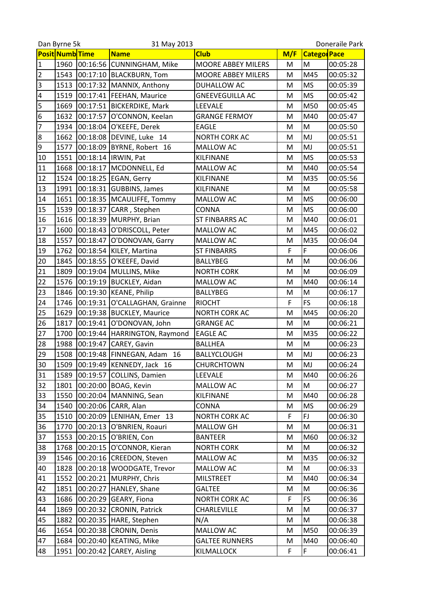|                         | Dan Byrne 5k           |          | 31 May 2013                    |                           |     | Doneraile Park     |          |
|-------------------------|------------------------|----------|--------------------------------|---------------------------|-----|--------------------|----------|
|                         | <b>Posit Numb</b> Time |          | <b>Name</b>                    | <b>Club</b>               | M/F | <b>Catego Pace</b> |          |
| $\mathbf 1$             | 1960                   | 00:16:56 | <b>CUNNINGHAM, Mike</b>        | <b>MOORE ABBEY MILERS</b> | М   | M                  | 00:05:28 |
| $\overline{2}$          | 1543                   |          | 00:17:10 BLACKBURN, Tom        | MOORE ABBEY MILERS        | M   | M45                | 00:05:32 |
| $\overline{3}$          | 1513                   |          | 00:17:32 MANNIX, Anthony       | DUHALLOW AC               | M   | <b>MS</b>          | 00:05:39 |
| $\overline{\mathbf{r}}$ | 1519                   |          | 00:17:41 FEEHAN, Maurice       | <b>GNEEVEGUILLA AC</b>    | M   | <b>MS</b>          | 00:05:42 |
| 5                       | 1669                   | 00:17:51 | <b>BICKERDIKE, Mark</b>        | <b>LEEVALE</b>            | M   | M50                | 00:05:45 |
| $6\phantom{1}6$         | 1632                   | 00:17:57 | O'CONNON, Keelan               | <b>GRANGE FERMOY</b>      | M   | M40                | 00:05:47 |
| $\overline{7}$          | 1934                   | 00:18:04 | O'KEEFE, Derek                 | <b>EAGLE</b>              | M   | M                  | 00:05:50 |
| $\bf 8$                 | 1662                   |          | 00:18:08 DEVINE, Luke 14       | <b>NORTH CORK AC</b>      | M   | MJ                 | 00:05:51 |
| 9                       | 1577                   |          | 00:18:09   BYRNE, Robert 16    | MALLOW AC                 | M   | MJ                 | 00:05:51 |
| 10                      | 1551                   |          | 00:18:14  IRWIN, Pat           | KILFINANE                 | M   | <b>MS</b>          | 00:05:53 |
| 11                      | 1668                   |          | 00:18:17 MCDONNELL, Ed         | MALLOW AC                 | M   | M40                | 00:05:54 |
| 12                      | 1524                   | 00:18:25 | <b>EGAN, Gerry</b>             | KILFINANE                 | M   | M35                | 00:05:56 |
| 13                      | 1991                   | 00:18:31 | <b>GUBBINS, James</b>          | KILFINANE                 | M   | M                  | 00:05:58 |
| 14                      | 1651                   |          | 00:18:35   MCAULIFFE, Tommy    | MALLOW AC                 | M   | <b>MS</b>          | 00:06:00 |
| 15                      | 1539                   | 00:18:37 | CARR, Stephen                  | <b>CONNA</b>              | M   | <b>MS</b>          | 00:06:00 |
| 16                      | 1616                   | 00:18:39 | MURPHY, Brian                  | <b>ST FINBARRS AC</b>     | M   | M40                | 00:06:01 |
| 17                      | 1600                   | 00:18:43 | O'DRISCOLL, Peter              | <b>MALLOW AC</b>          | M   | M45                | 00:06:02 |
| 18                      | 1557                   | 00:18:47 | O'DONOVAN, Garry               | MALLOW AC                 | M   | M35                | 00:06:04 |
| 19                      | 1762                   |          | 00:18:54 KILEY, Martina        | <b>ST FINBARRS</b>        | F   | F                  | 00:06:06 |
| 20                      | 1845                   | 00:18:55 | O'KEEFE, David                 | <b>BALLYBEG</b>           | M   | M                  | 00:06:06 |
| 21                      | 1809                   |          | 00:19:04 MULLINS, Mike         | <b>NORTH CORK</b>         | M   | M                  | 00:06:09 |
| 22                      | 1576                   |          | 00:19:19 BUCKLEY, Aidan        | MALLOW AC                 | M   | M40                | 00:06:14 |
| 23                      | 1846                   |          | 00:19:30 KEANE, Philip         | <b>BALLYBEG</b>           | M   | M                  | 00:06:17 |
| 24                      | 1746                   | 00:19:31 | O'CALLAGHAN, Grainne           | <b>RIOCHT</b>             | F   | FS                 | 00:06:18 |
| 25                      | 1629                   |          | 00:19:38 BUCKLEY, Maurice      | NORTH CORK AC             | M   | M45                | 00:06:20 |
| 26                      | 1817                   | 00:19:41 | O'DONOVAN, John                | <b>GRANGE AC</b>          | M   | M                  | 00:06:21 |
| 27                      | 1700                   |          | 00:19:44   HARRINGTON, Raymond | <b>EAGLE AC</b>           | M   | M35                | 00:06:22 |
| 28                      | 1988                   | 00:19:47 | CAREY, Gavin                   | <b>BALLHEA</b>            | M   | M                  | 00:06:23 |
| 29                      | 1508                   |          | 00:19:48 FINNEGAN, Adam 16     | <b>BALLYCLOUGH</b>        | M   | MJ                 | 00:06:23 |
| 30                      | 1509                   |          | 00:19:49   KENNEDY, Jack 16    | <b>CHURCHTOWN</b>         | M   | MJ                 | 00:06:24 |
| 31                      | 1589                   | 00:19:57 | <b>COLLINS, Damien</b>         | LEEVALE                   | M   | M40                | 00:06:26 |
| 32                      | 1801                   |          | 00:20:00 BOAG, Kevin           | MALLOW AC                 | M   | M                  | 00:06:27 |
| 33                      | 1550                   |          | 00:20:04 MANNING, Sean         | KILFINANE                 | M   | M40                | 00:06:28 |
| 34                      | 1540                   |          | 00:20:06 CARR, Alan            | <b>CONNA</b>              | M   | <b>MS</b>          | 00:06:29 |
| 35                      | 1510                   | 00:20:09 | LENIHAN, Emer 13               | <b>NORTH CORK AC</b>      | F   | FJ                 | 00:06:30 |
| 36                      | 1770                   | 00:20:13 | O'BNRIEN, Roauri               | MALLOW GH                 | M   | M                  | 00:06:31 |
| 37                      | 1553                   | 00:20:15 | O'BRIEN, Con                   | <b>BANTEER</b>            | M   | M60                | 00:06:32 |
| 38                      | 1768                   | 00:20:15 | O'CONNOR, Kieran               | <b>NORTH CORK</b>         | M   | M                  | 00:06:32 |
| 39                      | 1546                   | 00:20:16 | <b>CREEDON, Steven</b>         | MALLOW AC                 | M   | M35                | 00:06:32 |
| 40                      | 1828                   |          | 00:20:18   WOODGATE, Trevor    | MALLOW AC                 | M   | M                  | 00:06:33 |
| 41                      | 1552                   | 00:20:21 | MURPHY, Chris                  | <b>MILSTREET</b>          | M   | M40                | 00:06:34 |
| 42                      | 1851                   | 00:20:27 | HANLEY, Shane                  | <b>GALTEE</b>             | M   | M                  | 00:06:36 |
| 43                      | 1686                   | 00:20:29 | GEARY, Fiona                   | <b>NORTH CORK AC</b>      | F   | FS                 | 00:06:36 |
| 44                      | 1869                   | 00:20:32 | <b>CRONIN, Patrick</b>         | CHARLEVILLE               | M   | M                  | 00:06:37 |
| 45                      | 1882                   | 00:20:35 | HARE, Stephen                  | N/A                       | M   | M                  | 00:06:38 |
| 46                      | 1654                   | 00:20:38 | <b>CRONIN, Denis</b>           | MALLOW AC                 | M   | M50                | 00:06:39 |
| 47                      | 1684                   | 00:20:40 | <b>KEATING, Mike</b>           | <b>GALTEE RUNNERS</b>     | M   | M40                | 00:06:40 |
| 48                      | 1951                   | 00:20:42 | CAREY, Aisling                 | KILMALLOCK                | F   | $\mathsf F$        | 00:06:41 |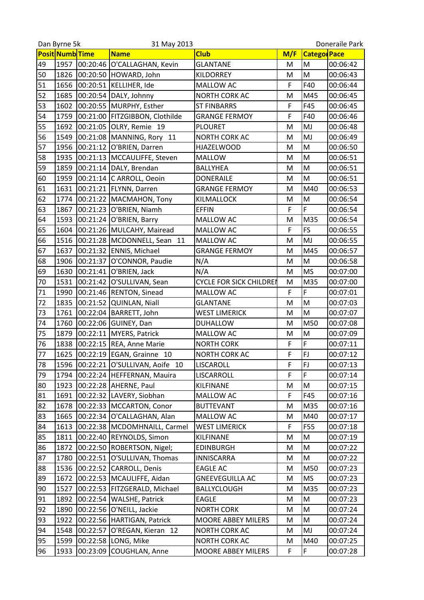|    | Dan Byrne 5k    |          | 31 May 2013                    |                                |     |                     | Doneraile Park |
|----|-----------------|----------|--------------------------------|--------------------------------|-----|---------------------|----------------|
|    | Posit Numb Time |          | <b>Name</b>                    | <b>Club</b>                    | M/F | <b>Categor</b> Pace |                |
| 49 | 1957            | 00:20:46 | O'CALLAGHAN, Kevin             | <b>GLANTANE</b>                | М   | M                   | 00:06:42       |
| 50 | 1826            |          | 00:20:50 HOWARD, John          | <b>KILDORREY</b>               | M   | M                   | 00:06:43       |
| 51 | 1656            | 00:20:51 | KELLIHER, Ide                  | <b>MALLOW AC</b>               | F   | F40                 | 00:06:44       |
| 52 | 1685            |          | 00:20:54   DALY, Johnny        | <b>NORTH CORK AC</b>           | M   | M45                 | 00:06:45       |
| 53 | 1602            |          | 00:20:55  MURPHY, Esther       | <b>ST FINBARRS</b>             | F   | F45                 | 00:06:45       |
| 54 | 1759            |          | 00:21:00 FITZGIBBON, Clothilde | <b>GRANGE FERMOY</b>           | F   | F40                 | 00:06:46       |
| 55 | 1692            | 00:21:05 | OLRY, Remie 19                 | <b>PLOURET</b>                 | M   | MJ                  | 00:06:48       |
| 56 | 1549            |          | 00:21:08 MANNING, Rory 11      | <b>NORTH CORK AC</b>           | M   | MJ                  | 00:06:49       |
| 57 | 1956            |          | 00:21:12 O'BRIEN, Darren       | <b>HJAZELWOOD</b>              | M   | M                   | 00:06:50       |
| 58 | 1935            |          | 00:21:13   MCCAULIFFE, Steven  | <b>MALLOW</b>                  | M   | M                   | 00:06:51       |
| 59 | 1859            |          | 00:21:14   DALY, Brendan       | <b>BALLYHEA</b>                | M   | M                   | 00:06:51       |
| 60 | 1959            |          | 00:21:14 C ARROLL, Oeoin       | <b>DONERAILE</b>               | M   | M                   | 00:06:51       |
| 61 | 1631            |          | 00:21:21 FLYNN, Darren         | <b>GRANGE FERMOY</b>           | M   | M40                 | 00:06:53       |
| 62 | 1774            |          | 00:21:22   MACMAHON, Tony      | KILMALLOCK                     | M   | M                   | 00:06:54       |
| 63 | 1867            |          | 00:21:23 O'BRIEN, Niamh        | <b>EFFIN</b>                   | F   | F                   | 00:06:54       |
| 64 | 1593            |          | 00:21:24 O'BRIEN, Barry        | <b>MALLOW AC</b>               | M   | M35                 | 00:06:54       |
| 65 | 1604            |          | 00:21:26 MULCAHY, Mairead      | MALLOW AC                      | F   | <b>FS</b>           | 00:06:55       |
| 66 | 1516            |          | 00:21:28   MCDONNELL, Sean 11  | MALLOW AC                      | M   | MJ                  | 00:06:55       |
| 67 | 1637            |          | 00:21:32 ENNIS, Michael        | <b>GRANGE FERMOY</b>           | M   | M45                 | 00:06:57       |
| 68 | 1906            | 00:21:37 | O'CONNOR, Paudie               | N/A                            | M   | M                   | 00:06:58       |
| 69 | 1630            | 00:21:41 | O'BRIEN, Jack                  | N/A                            | M   | <b>MS</b>           | 00:07:00       |
| 70 | 1531            |          | 00:21:42 O'SULLIVAN, Sean      | <b>CYCLE FOR SICK CHILDREN</b> | M   | M35                 | 00:07:00       |
| 71 | 1990            |          | 00:21:46 RENTON, Sinead        | MALLOW AC                      | F   | F                   | 00:07:01       |
| 72 | 1835            | 00:21:52 | <b>QUINLAN, Niall</b>          | <b>GLANTANE</b>                | M   | M                   | 00:07:03       |
| 73 | 1761            | 00:22:04 | BARRETT, John                  | <b>WEST LIMERICK</b>           | M   | M                   | 00:07:07       |
| 74 | 1760            | 00:22:06 | GUINEY, Dan                    | <b>DUHALLOW</b>                | M   | M50                 | 00:07:08       |
| 75 | 1879            |          | 00:22:11 MYERS, Patrick        | MALLOW AC                      | M   | M                   | 00:07:09       |
| 76 | 1838            |          | 00:22:15 REA, Anne Marie       | <b>NORTH CORK</b>              | F   | F                   | 00:07:11       |
| 77 | 1625            |          | 00:22:19 EGAN, Grainne 10      | <b>NORTH CORK AC</b>           | F   | FJ                  | 00:07:12       |
| 78 | 1596            |          | 00:22:21 O'SULLIVAN, Aoife 10  | LISCAROLL                      | F   | <b>FJ</b>           | 00:07:13       |
| 79 | 1794            |          | 00:22:24 HEFFERNAN, Mauira     | LISCARROLL                     | F   | F                   | 00:07:14       |
| 80 | 1923            |          | 00:22:28 AHERNE, Paul          | KILFINANE                      | M   | M                   | 00:07:15       |
| 81 | 1691            |          | 00:22:32 LAVERY, Siobhan       | MALLOW AC                      | F   | F45                 | 00:07:16       |
| 82 | 1678            |          | 00:22:33   MCCARTON, Conor     | <b>BUTTEVANT</b>               | M   | M35                 | 00:07:16       |
| 83 | 1665            |          | 00:22:34 O'CALLAGHAN, Alan     | MALLOW AC                      | M   | M40                 | 00:07:17       |
| 84 | 1613            |          | 00:22:38   MCDOMHNAILL, Carmel | <b>WEST LIMERICK</b>           | F   | <b>F55</b>          | 00:07:18       |
| 85 | 1811            |          | 00:22:40 REYNOLDS, Simon       | KILFINANE                      | M   | M                   | 00:07:19       |
| 86 | 1872            | 00:22:50 | ROBERTSON, Nigel;              | <b>EDINBURGH</b>               | M   | M                   | 00:07:22       |
| 87 | 1780            |          | 00:22:51 O'SULLIVAN, Thomas    | <b>INNISCARRA</b>              | M   | M                   | 00:07:22       |
| 88 | 1536            |          | 00:22:52 CARROLL, Denis        | <b>EAGLE AC</b>                | M   | M50                 | 00:07:23       |
| 89 | 1672            |          | 00:22:53 MCAULIFFE, Aidan      | <b>GNEEVEGUILLA AC</b>         | M   | <b>MS</b>           | 00:07:23       |
| 90 | 1527            |          | 00:22:53   FITZGERALD, Michael | <b>BALLYCLOUGH</b>             | M   | M35                 | 00:07:23       |
| 91 | 1892            | 00:22:54 | <b>WALSHE, Patrick</b>         | <b>EAGLE</b>                   | M   | M                   | 00:07:23       |
| 92 | 1890            | 00:22:56 | O'NEILL, Jackie                | <b>NORTH CORK</b>              | M   | M                   | 00:07:24       |
| 93 | 1922            |          | 00:22:56 HARTIGAN, Patrick     | <b>MOORE ABBEY MILERS</b>      | M   | M                   | 00:07:24       |
| 94 | 1548            | 00:22:57 | O'REGAN, Kieran 12             | NORTH CORK AC                  | M   | MJ                  | 00:07:24       |
| 95 | 1599            | 00:22:58 | LONG, Mike                     | NORTH CORK AC                  | M   | M40                 | 00:07:25       |
| 96 | 1933            | 00:23:09 |                                | MOORE ABBEY MILERS             | F   | F                   | 00:07:28       |
|    |                 |          | COUGHLAN, Anne                 |                                |     |                     |                |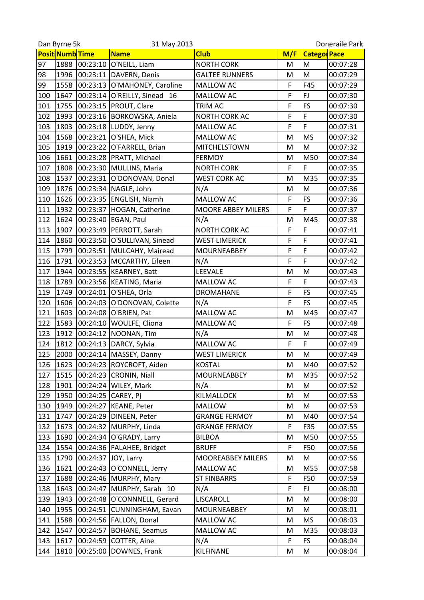|     | Dan Byrne 5k    |          | 31 May 2013                   |                          |     | Doneraile Park      |          |  |
|-----|-----------------|----------|-------------------------------|--------------------------|-----|---------------------|----------|--|
|     | Posit Numb Time |          | <b>Name</b>                   | <b>Club</b>              | M/F | <b>Categor</b> Pace |          |  |
| 97  | 1888            | 00:23:10 | O'NEILL, Liam                 | <b>NORTH CORK</b>        | M   | M                   | 00:07:28 |  |
| 98  | 1996            | 00:23:11 | DAVERN, Denis                 | <b>GALTEE RUNNERS</b>    | M   | M                   | 00:07:29 |  |
| 99  | 1558            |          | 00:23:13 O'MAHONEY, Caroline  | MALLOW AC                | F   | F45                 | 00:07:29 |  |
| 100 | 1647            | 00:23:14 | O'REILLY, Sinead 16           | MALLOW AC                | F   | FJ                  | 00:07:30 |  |
| 101 | 1755            | 00:23:15 | PROUT, Clare                  | TRIM AC                  | F   | FS                  | 00:07:30 |  |
| 102 | 1993            | 00:23:16 | BORKOWSKA, Aniela             | NORTH CORK AC            | F   | F                   | 00:07:30 |  |
| 103 | 1803            |          | 00:23:18 LUDDY, Jenny         | <b>MALLOW AC</b>         | F   | F                   | 00:07:31 |  |
| 104 | 1568            |          | 00:23:21 O'SHEA, Mick         | <b>MALLOW AC</b>         | M   | <b>MS</b>           | 00:07:32 |  |
| 105 | 1919            | 00:23:22 | O'FARRELL, Brian              | MITCHELSTOWN             | M   | M                   | 00:07:32 |  |
| 106 | 1661            |          | 00:23:28 PRATT, Michael       | <b>FERMOY</b>            | M   | M50                 | 00:07:34 |  |
| 107 | 1808            | 00:23:30 | MULLINS, Maria                | <b>NORTH CORK</b>        | F   | F                   | 00:07:35 |  |
| 108 | 1537            | 00:23:31 | O'DONOVAN, Donal              | <b>WEST CORK AC</b>      | M   | M35                 | 00:07:35 |  |
| 109 | 1876            |          | 00:23:34 NAGLE, John          | N/A                      | M   | M                   | 00:07:36 |  |
| 110 | 1626            |          | 00:23:35 ENGLISH, Niamh       | MALLOW AC                | F   | <b>FS</b>           | 00:07:36 |  |
| 111 | 1932            | 00:23:37 | HOGAN, Catherine              | MOORE ABBEY MILERS       | F   | F                   | 00:07:37 |  |
| 112 | 1624            | 00:23:40 | EGAN, Paul                    | N/A                      | M   | M45                 | 00:07:38 |  |
| 113 | 1907            |          | 00:23:49 PERROTT, Sarah       | <b>NORTH CORK AC</b>     | F   | F                   | 00:07:41 |  |
| 114 | 1860            |          | 00:23:50 O'SULLIVAN, Sinead   | <b>WEST LIMERICK</b>     | F   | F                   | 00:07:41 |  |
| 115 | 1799            | 00:23:51 | MULCAHY, Mairead              | <b>MOURNEABBEY</b>       | F   | F                   | 00:07:42 |  |
| 116 | 1791            |          | 00:23:53 MCCARTHY, Eileen     | N/A                      | F   | F                   | 00:07:42 |  |
| 117 | 1944            |          | 00:23:55  KEARNEY, Batt       | LEEVALE                  | M   | M                   | 00:07:43 |  |
| 118 | 1789            |          | 00:23:56 KEATING, Maria       | MALLOW AC                | F   | F                   | 00:07:43 |  |
| 119 | 1749            | 00:24:01 | O'SHEA, Orla                  | <b>DROMAHANE</b>         | F   | FS                  | 00:07:45 |  |
| 120 | 1606            | 00:24:03 | O'DONOVAN, Colette            | N/A                      | F   | FS                  | 00:07:45 |  |
| 121 | 1603            | 00:24:08 | O'BRIEN, Pat                  | MALLOW AC                | M   | M45                 | 00:07:47 |  |
| 122 | 1583            | 00:24:10 | <b>WOULFE, Cliona</b>         | MALLOW AC                | F   | FS                  | 00:07:48 |  |
| 123 | 1912            |          | 00:24:12   NOONAN, Tim        | N/A                      | M   | M                   | 00:07:48 |  |
| 124 | 1812            | 00:24:13 | DARCY, Sylvia                 | MALLOW AC                | F   | F                   | 00:07:49 |  |
| 125 | 2000            |          | 00:24:14 MASSEY, Danny        | <b>WEST LIMERICK</b>     | M   | M                   | 00:07:49 |  |
| 126 |                 |          | 1623 00:24:23 ROYCROFT, Aiden | <b>KOSTAL</b>            | Μ   | M40                 | 00:07:52 |  |
| 127 | 1515            | 00:24:23 | <b>CRONIN, Niall</b>          | <b>MOURNEABBEY</b>       | M   | M35                 | 00:07:52 |  |
| 128 | 1901            |          | 00:24:24 WILEY, Mark          | N/A                      | M   | M                   | 00:07:52 |  |
| 129 | 1950            | 00:24:25 | CAREY, Pj                     | KILMALLOCK               | M   | M                   | 00:07:53 |  |
| 130 | 1949            | 00:24:27 | <b>KEANE, Peter</b>           | <b>MALLOW</b>            | M   | M                   | 00:07:53 |  |
| 131 | 1747            | 00:24:29 | DINEEN, Peter                 | <b>GRANGE FERMOY</b>     | M   | M40                 | 00:07:54 |  |
| 132 | 1673            | 00:24:32 | MURPHY, Linda                 | <b>GRANGE FERMOY</b>     | F   | F35                 | 00:07:55 |  |
| 133 | 1690            | 00:24:34 | O'GRADY, Larry                | <b>BILBOA</b>            | M   | M50                 | 00:07:55 |  |
| 134 | 1554            | 00:24:36 | FALAHEE, Bridget              | <b>BRUFF</b>             | F   | F50                 | 00:07:56 |  |
| 135 | 1790            | 00:24:37 | JOY, Larry                    | <b>MOOREABBEY MILERS</b> | M   | M                   | 00:07:56 |  |
| 136 | 1621            | 00:24:43 | O'CONNELL, Jerry              | MALLOW AC                | M   | M55                 | 00:07:58 |  |
| 137 | 1688            |          | 00:24:46 MURPHY, Mary         | <b>ST FINBARRS</b>       | F   | F50                 | 00:07:59 |  |
| 138 | 1643            | 00:24:47 | MURPHY, Sarah 10              | N/A                      | F   | FJ                  | 00:08:00 |  |
| 139 | 1943            | 00:24:48 | O'CONNNELL, Gerard            | LISCAROLL                | M   | M                   | 00:08:00 |  |
| 140 | 1955            | 00:24:51 | CUNNINGHAM, Eavan             | <b>MOURNEABBEY</b>       | M   | M                   | 00:08:01 |  |
| 141 | 1588            |          | 00:24:56   FALLON, Donal      | MALLOW AC                | M   | <b>MS</b>           | 00:08:03 |  |
| 142 | 1547            | 00:24:57 | <b>BOHANE, Seamus</b>         | MALLOW AC                | M   | M35                 | 00:08:03 |  |
| 143 | 1617            | 00:24:59 | <b>COTTER, Aine</b>           | N/A                      | F   | FS                  | 00:08:04 |  |
| 144 | 1810            | 00:25:00 | DOWNES, Frank                 | KILFINANE                | M   | M                   | 00:08:04 |  |
|     |                 |          |                               |                          |     |                     |          |  |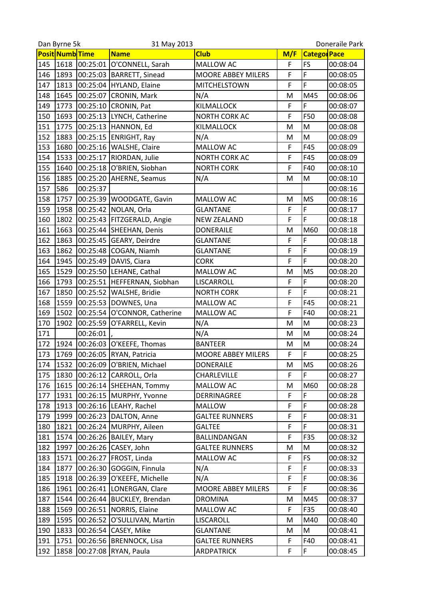|     | Dan Byrne 5k<br>31 May 2013 |          |                                |                           | Doneraile Park |                    |          |
|-----|-----------------------------|----------|--------------------------------|---------------------------|----------------|--------------------|----------|
|     | <b>Posit Numb</b> Time      |          | <b>Name</b>                    | <b>Club</b>               | M/F            | <b>Catego Pace</b> |          |
| 145 | 1618                        | 00:25:01 | O'CONNELL, Sarah               | MALLOW AC                 | F              | <b>FS</b>          | 00:08:04 |
| 146 | 1893                        | 00:25:03 | <b>BARRETT, Sinead</b>         | <b>MOORE ABBEY MILERS</b> | F              | F                  | 00:08:05 |
| 147 | 1813                        | 00:25:04 | HYLAND, Elaine                 | <b>MITCHELSTOWN</b>       | F              | F                  | 00:08:05 |
| 148 | 1645                        | 00:25:07 | CRONIN, Mark                   | N/A                       | M              | M45                | 00:08:06 |
| 149 | 1773                        | 00:25:10 | CRONIN, Pat                    | KILMALLOCK                | F              | F                  | 00:08:07 |
| 150 | 1693                        | 00:25:13 | LYNCH, Catherine               | NORTH CORK AC             | F              | F50                | 00:08:08 |
| 151 | 1775                        | 00:25:13 | HANNON, Ed                     | <b>KILMALLOCK</b>         | M              | M                  | 00:08:08 |
| 152 | 1883                        |          | 00:25:15 ENRIGHT, Ray          | N/A                       | M              | M                  | 00:08:09 |
| 153 | 1680                        |          | 00:25:16   WALSHE, Claire      | MALLOW AC                 | F              | F45                | 00:08:09 |
| 154 | 1533                        | 00:25:17 | RIORDAN, Julie                 | NORTH CORK AC             | F              | F45                | 00:08:09 |
| 155 | 1640                        | 00:25:18 | O'BRIEN, Siobhan               | <b>NORTH CORK</b>         | F              | F40                | 00:08:10 |
| 156 | 1885                        | 00:25:20 | AHERNE, Seamus                 | N/A                       | M              | M                  | 00:08:10 |
| 157 | 586                         | 00:25:37 |                                |                           |                |                    | 00:08:16 |
| 158 | 1757                        |          | 00:25:39   WOODGATE, Gavin     | MALLOW AC                 | M              | <b>MS</b>          | 00:08:16 |
| 159 | 1958                        | 00:25:42 | NOLAN, Orla                    | <b>GLANTANE</b>           | F              | F                  | 00:08:17 |
| 160 | 1802                        |          | 00:25:43   FITZGERALD, Angie   | <b>NEW ZEALAND</b>        | F              | F                  | 00:08:18 |
| 161 | 1663                        | 00:25:44 | SHEEHAN, Denis                 | <b>DONERAILE</b>          | M              | M60                | 00:08:18 |
| 162 | 1863                        | 00:25:45 | GEARY, Deirdre                 | <b>GLANTANE</b>           | F              | F                  | 00:08:18 |
| 163 | 1862                        | 00:25:48 | COGAN, Niamh                   | <b>GLANTANE</b>           | F              | F                  | 00:08:19 |
| 164 | 1945                        | 00:25:49 | DAVIS, Ciara                   | <b>CORK</b>               | F              | F                  | 00:08:20 |
| 165 | 1529                        |          | 00:25:50 LEHANE, Cathal        | <b>MALLOW AC</b>          | M              | <b>MS</b>          | 00:08:20 |
| 166 | 1793                        | 00:25:51 | HEFFERNAN, Siobhan             | LISCARROLL                | F              | F                  | 00:08:20 |
| 167 | 1850                        | 00:25:52 | WALSHE, Bridie                 | <b>NORTH CORK</b>         | F              | F                  | 00:08:21 |
| 168 | 1559                        |          | 00:25:53 DOWNES, Una           | MALLOW AC                 | F              | F45                | 00:08:21 |
| 169 | 1502                        | 00:25:54 | O'CONNOR, Catherine            | MALLOW AC                 | F              | F40                | 00:08:21 |
| 170 | 1902                        | 00:25:59 | O'FARRELL, Kevin               | N/A                       | M              | M                  | 00:08:23 |
| 171 |                             | 00:26:01 |                                | N/A                       | M              | M                  | 00:08:24 |
| 172 | 1924                        | 00:26:03 | O'KEEFE, Thomas                | <b>BANTEER</b>            | M              | M                  | 00:08:24 |
| 173 | 1769                        |          | 00:26:05 RYAN, Patricia        | MOORE ABBEY MILERS        | F              | F                  | 00:08:25 |
| 174 |                             |          | 1532 00:26:09 O'BRIEN, Michael | <b>DONERAILE</b>          | Μ              | <b>MS</b>          | 00:08:26 |
| 175 | 1830                        | 00:26:12 | CARROLL, Orla                  | CHARLEVILLE               | F              | F                  | 00:08:27 |
| 176 | 1615                        |          | 00:26:14 SHEEHAN, Tommy        | MALLOW AC                 | M              | M60                | 00:08:28 |
| 177 | 1931                        | 00:26:15 | MURPHY, Yvonne                 | DERRINAGREE               | F              | F                  | 00:08:28 |
| 178 | 1913                        |          | 00:26:16 LEAHY, Rachel         | <b>MALLOW</b>             | F              | F                  | 00:08:28 |
| 179 | 1999                        | 00:26:23 | DALTON, Anne                   | <b>GALTEE RUNNERS</b>     | F              | F                  | 00:08:31 |
| 180 | 1821                        |          | 00:26:24 MURPHY, Aileen        | <b>GALTEE</b>             | F              | F                  | 00:08:31 |
| 181 | 1574                        | 00:26:26 | <b>BAILEY, Mary</b>            | BALLINDANGAN              | F              | F35                | 00:08:32 |
| 182 | 1997                        | 00:26:26 | CASEY, John                    | <b>GALTEE RUNNERS</b>     | M              | M                  | 00:08:32 |
| 183 | 1571                        | 00:26:27 | FROST, Linda                   | MALLOW AC                 | F              | <b>FS</b>          | 00:08:32 |
| 184 | 1877                        | 00:26:30 | GOGGIN, Finnula                | N/A                       | F              | F                  | 00:08:33 |
| 185 | 1918                        | 00:26:39 | O'KEEFE, Michelle              | N/A                       | F              | F                  | 00:08:36 |
| 186 | 1961                        | 00:26:41 | LONERGAN, Clare                | <b>MOORE ABBEY MILERS</b> | F              | F                  | 00:08:36 |
| 187 | 1544                        | 00:26:44 | <b>BUCKLEY, Brendan</b>        | <b>DROMINA</b>            | M              | M45                | 00:08:37 |
| 188 | 1569                        | 00:26:51 | NORRIS, Elaine                 | MALLOW AC                 | F              | F <sub>35</sub>    | 00:08:40 |
| 189 | 1595                        | 00:26:52 | O'SULLIVAN, Martin             | LISCAROLL                 | M              | M40                | 00:08:40 |
| 190 | 1833                        | 00:26:54 | CASEY, Mike                    | <b>GLANTANE</b>           | M              | M                  | 00:08:41 |
| 191 | 1751                        | 00:26:56 | <b>BRENNOCK, Lisa</b>          | <b>GALTEE RUNNERS</b>     | F              | F40                | 00:08:41 |
| 192 | 1858                        | 00:27:08 | RYAN, Paula                    | <b>ARDPATRICK</b>         | F              | F                  | 00:08:45 |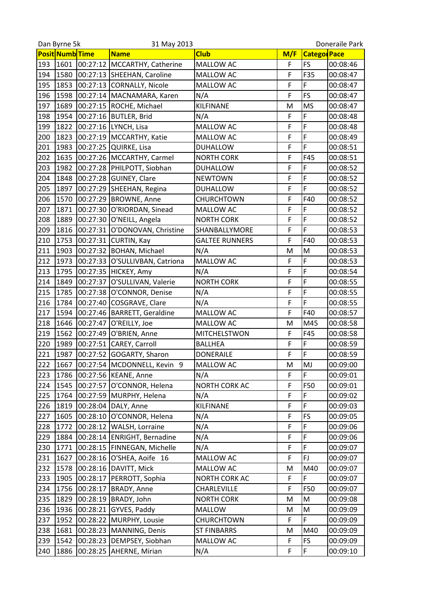| Posit Numb Time<br><b>Catego Pace</b><br><b>Name</b><br><b>Club</b><br>M/F<br>1601<br>00:27:12<br>MALLOW AC<br>F<br><b>FS</b><br>193<br>MCCARTHY, Catherine<br>00:08:46<br>F<br>F35<br>194<br>1580<br>00:27:13<br>SHEEHAN, Caroline<br>00:08:47<br><b>MALLOW AC</b><br>F<br>1853<br>00:27:13 CORNALLY, Nicole<br>F<br>195<br>MALLOW AC<br>00:08:47<br>F<br><b>FS</b><br>1598<br>196<br>00:27:14<br>MACNAMARA, Karen<br>N/A<br>00:08:47<br>KILFINANE<br>197<br>1689<br>00:27:15<br><b>MS</b><br>ROCHE, Michael<br>M<br>00:08:47<br>F<br>F<br>1954<br>198<br>00:27:16<br><b>BUTLER, Brid</b><br>N/A<br>00:08:48<br>F<br>F<br>199<br>1822<br>00:27:16 LYNCH, Lisa<br><b>MALLOW AC</b><br>00:08:48<br>F<br>F<br>1823<br>200<br>00:27:19   MCCARTHY, Katie<br><b>MALLOW AC</b><br>00:08:49<br>F<br>F<br>1983<br>00:27:25<br>201<br>QUIRKE, Lisa<br><b>DUHALLOW</b><br>00:08:51<br>F<br><b>F45</b><br>1635<br>202<br>00:27:26   MCCARTHY, Carmel<br><b>NORTH CORK</b><br>00:08:51<br>F<br>203<br>1982<br>F<br>00:27:28<br>PHILPOTT, Siobhan<br>00:08:52<br><b>DUHALLOW</b><br>F<br>F<br>204<br>1848<br>00:27:28 GUINEY, Clare<br><b>NEWTOWN</b><br>00:08:52<br>F<br>F<br>1897<br>205<br>00:27:29<br>SHEEHAN, Regina<br><b>DUHALLOW</b><br>00:08:52<br>F<br>F40<br>206<br>1570<br>00:27:29 BROWNE, Anne<br>00:08:52<br>CHURCHTOWN<br>F<br>1871<br>F<br>207<br>00:27:30 O'RIORDAN, Sinead<br>MALLOW AC<br>00:08:52<br>F<br>F<br>1889<br>208<br>00:27:30<br>O'NEILL, Angela<br><b>NORTH CORK</b><br>00:08:52<br>F<br>1816<br>00:27:31<br>F<br>209<br>O'DONOVAN, Christine<br>00:08:53<br>SHANBALLYMORE<br>F<br>F40<br>1753<br>210<br>00:27:31<br><b>CURTIN, Kay</b><br><b>GALTEE RUNNERS</b><br>00:08:53<br>211<br>1903<br>00:27:32 BOHAN, Michael<br>N/A<br>M<br>M<br>00:08:53<br>F<br>F<br>212<br>1973<br>MALLOW AC<br>00:27:33<br>O'SULLIVBAN, Catriona<br>00:08:53<br>F<br>F<br>213<br>1795<br>00:27:35<br>HICKEY, Amy<br>N/A<br>00:08:54<br>F<br>F<br>1849<br>00:27:37<br><b>NORTH CORK</b><br>214<br>O'SULLIVAN, Valerie<br>00:08:55<br>F<br>F<br>215<br>1785<br>N/A<br>00:27:38<br>O'CONNOR, Denise<br>00:08:55<br>F<br>F<br>216<br>1784<br>00:27:40<br>COSGRAVE, Clare<br>N/A<br>00:08:55<br>F<br>1594<br>F40<br>217<br>00:27:46<br><b>BARRETT, Geraldine</b><br>MALLOW AC<br>00:08:57<br>218<br>1646<br>00:27:47<br>O'REILLY, Joe<br>MALLOW AC<br>M<br>M45<br>00:08:58<br>1562<br>F<br>F45<br>219<br>00:27:49 O'BRIEN, Anne<br>MITCHELSTWON<br>00:08:58<br>F<br>F<br>220<br>00:27:51<br>CAREY, Carroll<br>1989<br><b>BALLHEA</b><br>00:08:59<br>F<br>F<br>00:27:52 GOGARTY, Sharon<br>221<br>1987<br><b>DONERAILE</b><br>00:08:59<br>222<br>MJ<br>1667<br>00:27:54<br>MCDONNELL, Kevin 9<br>MALLOW AC<br>00:09:00<br>Μ<br>F<br>1786<br>00:27:56<br>F<br>223<br><b>KEANE, Anne</b><br>N/A<br>00:09:01<br>F<br>F50<br>224<br>1545<br>00:27:57<br>O'CONNOR, Helena<br>NORTH CORK AC<br>00:09:01<br>F<br>F<br>225<br>1764<br>00:27:59<br>MURPHY, Helena<br>N/A<br>00:09:02<br>F<br>F<br>1819<br>00:28:04<br>DALY, Anne<br>KILFINANE<br>226<br>00:09:03<br>F<br><b>FS</b><br>227<br>1605<br>00:28:10<br>O'CONNOR, Helena<br>N/A<br>00:09:05<br>F<br>F<br>00:28:12<br>WALSH, Lorraine<br>N/A<br>00:09:06<br>228<br>1772<br>F<br>F<br>1884<br>N/A<br>229<br>00:28:14<br><b>ENRIGHT, Bernadine</b><br>00:09:06<br>F<br>F<br>230<br>1771<br>00:28:15<br>FINNEGAN, Michelle<br>N/A<br>00:09:07<br>F<br>FJ<br>1627<br>O'SHEA, Aoife 16<br>231<br>00:28:16<br>MALLOW AC<br>00:09:07<br>00:28:16<br>232<br>1578<br>DAVITT, Mick<br>M40<br>00:09:07<br>MALLOW AC<br>M<br>F<br>PERROTT, Sophia<br>F<br>233<br>1905<br>00:28:17<br>NORTH CORK AC<br>00:09:07<br>F<br>F50<br>234<br>1756<br>00:28:17<br>BRADY, Anne<br>00:09:07<br>CHARLEVILLE<br>1829<br>00:28:19<br>BRADY, John<br><b>NORTH CORK</b><br>M<br>00:09:08<br>235<br>M<br>M<br>1936<br>00:28:21<br>GYVES, Paddy<br>00:09:09<br>236<br><b>MALLOW</b><br>M<br>F<br>237<br>1952<br>00:28:22<br>MURPHY, Lousie<br>CHURCHTOWN<br>F<br>00:09:09<br>238<br>1681<br>00:28:23<br>MANNING, Denis<br>M40<br>00:09:09<br><b>ST FINBARRS</b><br>M<br>00:28:23<br>MALLOW AC<br>F<br>FS<br>00:09:09<br>239<br>1542<br>DEMPSEY, Siobhan<br>F<br>F<br>240<br>1886<br>00:28:25<br>AHERNE, Mirian<br>N/A<br>00:09:10 | Dan Byrne 5k | 31 May 2013 |  | Doneraile Park |
|-----------------------------------------------------------------------------------------------------------------------------------------------------------------------------------------------------------------------------------------------------------------------------------------------------------------------------------------------------------------------------------------------------------------------------------------------------------------------------------------------------------------------------------------------------------------------------------------------------------------------------------------------------------------------------------------------------------------------------------------------------------------------------------------------------------------------------------------------------------------------------------------------------------------------------------------------------------------------------------------------------------------------------------------------------------------------------------------------------------------------------------------------------------------------------------------------------------------------------------------------------------------------------------------------------------------------------------------------------------------------------------------------------------------------------------------------------------------------------------------------------------------------------------------------------------------------------------------------------------------------------------------------------------------------------------------------------------------------------------------------------------------------------------------------------------------------------------------------------------------------------------------------------------------------------------------------------------------------------------------------------------------------------------------------------------------------------------------------------------------------------------------------------------------------------------------------------------------------------------------------------------------------------------------------------------------------------------------------------------------------------------------------------------------------------------------------------------------------------------------------------------------------------------------------------------------------------------------------------------------------------------------------------------------------------------------------------------------------------------------------------------------------------------------------------------------------------------------------------------------------------------------------------------------------------------------------------------------------------------------------------------------------------------------------------------------------------------------------------------------------------------------------------------------------------------------------------------------------------------------------------------------------------------------------------------------------------------------------------------------------------------------------------------------------------------------------------------------------------------------------------------------------------------------------------------------------------------------------------------------------------------------------------------------------------------------------------------------------------------------------------------------------------------------------------------------------------------------------------------------------------------------------------------------------------------------------------------------------------------------------------------------------------------------------------------------------------------------------------------------------------------------------------------------------------------------------------------------------------------------------|--------------|-------------|--|----------------|
|                                                                                                                                                                                                                                                                                                                                                                                                                                                                                                                                                                                                                                                                                                                                                                                                                                                                                                                                                                                                                                                                                                                                                                                                                                                                                                                                                                                                                                                                                                                                                                                                                                                                                                                                                                                                                                                                                                                                                                                                                                                                                                                                                                                                                                                                                                                                                                                                                                                                                                                                                                                                                                                                                                                                                                                                                                                                                                                                                                                                                                                                                                                                                                                                                                                                                                                                                                                                                                                                                                                                                                                                                                                                                                                                                                                                                                                                                                                                                                                                                                                                                                                                                                                                                                               |              |             |  |                |
|                                                                                                                                                                                                                                                                                                                                                                                                                                                                                                                                                                                                                                                                                                                                                                                                                                                                                                                                                                                                                                                                                                                                                                                                                                                                                                                                                                                                                                                                                                                                                                                                                                                                                                                                                                                                                                                                                                                                                                                                                                                                                                                                                                                                                                                                                                                                                                                                                                                                                                                                                                                                                                                                                                                                                                                                                                                                                                                                                                                                                                                                                                                                                                                                                                                                                                                                                                                                                                                                                                                                                                                                                                                                                                                                                                                                                                                                                                                                                                                                                                                                                                                                                                                                                                               |              |             |  |                |
|                                                                                                                                                                                                                                                                                                                                                                                                                                                                                                                                                                                                                                                                                                                                                                                                                                                                                                                                                                                                                                                                                                                                                                                                                                                                                                                                                                                                                                                                                                                                                                                                                                                                                                                                                                                                                                                                                                                                                                                                                                                                                                                                                                                                                                                                                                                                                                                                                                                                                                                                                                                                                                                                                                                                                                                                                                                                                                                                                                                                                                                                                                                                                                                                                                                                                                                                                                                                                                                                                                                                                                                                                                                                                                                                                                                                                                                                                                                                                                                                                                                                                                                                                                                                                                               |              |             |  |                |
|                                                                                                                                                                                                                                                                                                                                                                                                                                                                                                                                                                                                                                                                                                                                                                                                                                                                                                                                                                                                                                                                                                                                                                                                                                                                                                                                                                                                                                                                                                                                                                                                                                                                                                                                                                                                                                                                                                                                                                                                                                                                                                                                                                                                                                                                                                                                                                                                                                                                                                                                                                                                                                                                                                                                                                                                                                                                                                                                                                                                                                                                                                                                                                                                                                                                                                                                                                                                                                                                                                                                                                                                                                                                                                                                                                                                                                                                                                                                                                                                                                                                                                                                                                                                                                               |              |             |  |                |
|                                                                                                                                                                                                                                                                                                                                                                                                                                                                                                                                                                                                                                                                                                                                                                                                                                                                                                                                                                                                                                                                                                                                                                                                                                                                                                                                                                                                                                                                                                                                                                                                                                                                                                                                                                                                                                                                                                                                                                                                                                                                                                                                                                                                                                                                                                                                                                                                                                                                                                                                                                                                                                                                                                                                                                                                                                                                                                                                                                                                                                                                                                                                                                                                                                                                                                                                                                                                                                                                                                                                                                                                                                                                                                                                                                                                                                                                                                                                                                                                                                                                                                                                                                                                                                               |              |             |  |                |
|                                                                                                                                                                                                                                                                                                                                                                                                                                                                                                                                                                                                                                                                                                                                                                                                                                                                                                                                                                                                                                                                                                                                                                                                                                                                                                                                                                                                                                                                                                                                                                                                                                                                                                                                                                                                                                                                                                                                                                                                                                                                                                                                                                                                                                                                                                                                                                                                                                                                                                                                                                                                                                                                                                                                                                                                                                                                                                                                                                                                                                                                                                                                                                                                                                                                                                                                                                                                                                                                                                                                                                                                                                                                                                                                                                                                                                                                                                                                                                                                                                                                                                                                                                                                                                               |              |             |  |                |
|                                                                                                                                                                                                                                                                                                                                                                                                                                                                                                                                                                                                                                                                                                                                                                                                                                                                                                                                                                                                                                                                                                                                                                                                                                                                                                                                                                                                                                                                                                                                                                                                                                                                                                                                                                                                                                                                                                                                                                                                                                                                                                                                                                                                                                                                                                                                                                                                                                                                                                                                                                                                                                                                                                                                                                                                                                                                                                                                                                                                                                                                                                                                                                                                                                                                                                                                                                                                                                                                                                                                                                                                                                                                                                                                                                                                                                                                                                                                                                                                                                                                                                                                                                                                                                               |              |             |  |                |
|                                                                                                                                                                                                                                                                                                                                                                                                                                                                                                                                                                                                                                                                                                                                                                                                                                                                                                                                                                                                                                                                                                                                                                                                                                                                                                                                                                                                                                                                                                                                                                                                                                                                                                                                                                                                                                                                                                                                                                                                                                                                                                                                                                                                                                                                                                                                                                                                                                                                                                                                                                                                                                                                                                                                                                                                                                                                                                                                                                                                                                                                                                                                                                                                                                                                                                                                                                                                                                                                                                                                                                                                                                                                                                                                                                                                                                                                                                                                                                                                                                                                                                                                                                                                                                               |              |             |  |                |
|                                                                                                                                                                                                                                                                                                                                                                                                                                                                                                                                                                                                                                                                                                                                                                                                                                                                                                                                                                                                                                                                                                                                                                                                                                                                                                                                                                                                                                                                                                                                                                                                                                                                                                                                                                                                                                                                                                                                                                                                                                                                                                                                                                                                                                                                                                                                                                                                                                                                                                                                                                                                                                                                                                                                                                                                                                                                                                                                                                                                                                                                                                                                                                                                                                                                                                                                                                                                                                                                                                                                                                                                                                                                                                                                                                                                                                                                                                                                                                                                                                                                                                                                                                                                                                               |              |             |  |                |
|                                                                                                                                                                                                                                                                                                                                                                                                                                                                                                                                                                                                                                                                                                                                                                                                                                                                                                                                                                                                                                                                                                                                                                                                                                                                                                                                                                                                                                                                                                                                                                                                                                                                                                                                                                                                                                                                                                                                                                                                                                                                                                                                                                                                                                                                                                                                                                                                                                                                                                                                                                                                                                                                                                                                                                                                                                                                                                                                                                                                                                                                                                                                                                                                                                                                                                                                                                                                                                                                                                                                                                                                                                                                                                                                                                                                                                                                                                                                                                                                                                                                                                                                                                                                                                               |              |             |  |                |
|                                                                                                                                                                                                                                                                                                                                                                                                                                                                                                                                                                                                                                                                                                                                                                                                                                                                                                                                                                                                                                                                                                                                                                                                                                                                                                                                                                                                                                                                                                                                                                                                                                                                                                                                                                                                                                                                                                                                                                                                                                                                                                                                                                                                                                                                                                                                                                                                                                                                                                                                                                                                                                                                                                                                                                                                                                                                                                                                                                                                                                                                                                                                                                                                                                                                                                                                                                                                                                                                                                                                                                                                                                                                                                                                                                                                                                                                                                                                                                                                                                                                                                                                                                                                                                               |              |             |  |                |
|                                                                                                                                                                                                                                                                                                                                                                                                                                                                                                                                                                                                                                                                                                                                                                                                                                                                                                                                                                                                                                                                                                                                                                                                                                                                                                                                                                                                                                                                                                                                                                                                                                                                                                                                                                                                                                                                                                                                                                                                                                                                                                                                                                                                                                                                                                                                                                                                                                                                                                                                                                                                                                                                                                                                                                                                                                                                                                                                                                                                                                                                                                                                                                                                                                                                                                                                                                                                                                                                                                                                                                                                                                                                                                                                                                                                                                                                                                                                                                                                                                                                                                                                                                                                                                               |              |             |  |                |
|                                                                                                                                                                                                                                                                                                                                                                                                                                                                                                                                                                                                                                                                                                                                                                                                                                                                                                                                                                                                                                                                                                                                                                                                                                                                                                                                                                                                                                                                                                                                                                                                                                                                                                                                                                                                                                                                                                                                                                                                                                                                                                                                                                                                                                                                                                                                                                                                                                                                                                                                                                                                                                                                                                                                                                                                                                                                                                                                                                                                                                                                                                                                                                                                                                                                                                                                                                                                                                                                                                                                                                                                                                                                                                                                                                                                                                                                                                                                                                                                                                                                                                                                                                                                                                               |              |             |  |                |
|                                                                                                                                                                                                                                                                                                                                                                                                                                                                                                                                                                                                                                                                                                                                                                                                                                                                                                                                                                                                                                                                                                                                                                                                                                                                                                                                                                                                                                                                                                                                                                                                                                                                                                                                                                                                                                                                                                                                                                                                                                                                                                                                                                                                                                                                                                                                                                                                                                                                                                                                                                                                                                                                                                                                                                                                                                                                                                                                                                                                                                                                                                                                                                                                                                                                                                                                                                                                                                                                                                                                                                                                                                                                                                                                                                                                                                                                                                                                                                                                                                                                                                                                                                                                                                               |              |             |  |                |
|                                                                                                                                                                                                                                                                                                                                                                                                                                                                                                                                                                                                                                                                                                                                                                                                                                                                                                                                                                                                                                                                                                                                                                                                                                                                                                                                                                                                                                                                                                                                                                                                                                                                                                                                                                                                                                                                                                                                                                                                                                                                                                                                                                                                                                                                                                                                                                                                                                                                                                                                                                                                                                                                                                                                                                                                                                                                                                                                                                                                                                                                                                                                                                                                                                                                                                                                                                                                                                                                                                                                                                                                                                                                                                                                                                                                                                                                                                                                                                                                                                                                                                                                                                                                                                               |              |             |  |                |
|                                                                                                                                                                                                                                                                                                                                                                                                                                                                                                                                                                                                                                                                                                                                                                                                                                                                                                                                                                                                                                                                                                                                                                                                                                                                                                                                                                                                                                                                                                                                                                                                                                                                                                                                                                                                                                                                                                                                                                                                                                                                                                                                                                                                                                                                                                                                                                                                                                                                                                                                                                                                                                                                                                                                                                                                                                                                                                                                                                                                                                                                                                                                                                                                                                                                                                                                                                                                                                                                                                                                                                                                                                                                                                                                                                                                                                                                                                                                                                                                                                                                                                                                                                                                                                               |              |             |  |                |
|                                                                                                                                                                                                                                                                                                                                                                                                                                                                                                                                                                                                                                                                                                                                                                                                                                                                                                                                                                                                                                                                                                                                                                                                                                                                                                                                                                                                                                                                                                                                                                                                                                                                                                                                                                                                                                                                                                                                                                                                                                                                                                                                                                                                                                                                                                                                                                                                                                                                                                                                                                                                                                                                                                                                                                                                                                                                                                                                                                                                                                                                                                                                                                                                                                                                                                                                                                                                                                                                                                                                                                                                                                                                                                                                                                                                                                                                                                                                                                                                                                                                                                                                                                                                                                               |              |             |  |                |
|                                                                                                                                                                                                                                                                                                                                                                                                                                                                                                                                                                                                                                                                                                                                                                                                                                                                                                                                                                                                                                                                                                                                                                                                                                                                                                                                                                                                                                                                                                                                                                                                                                                                                                                                                                                                                                                                                                                                                                                                                                                                                                                                                                                                                                                                                                                                                                                                                                                                                                                                                                                                                                                                                                                                                                                                                                                                                                                                                                                                                                                                                                                                                                                                                                                                                                                                                                                                                                                                                                                                                                                                                                                                                                                                                                                                                                                                                                                                                                                                                                                                                                                                                                                                                                               |              |             |  |                |
|                                                                                                                                                                                                                                                                                                                                                                                                                                                                                                                                                                                                                                                                                                                                                                                                                                                                                                                                                                                                                                                                                                                                                                                                                                                                                                                                                                                                                                                                                                                                                                                                                                                                                                                                                                                                                                                                                                                                                                                                                                                                                                                                                                                                                                                                                                                                                                                                                                                                                                                                                                                                                                                                                                                                                                                                                                                                                                                                                                                                                                                                                                                                                                                                                                                                                                                                                                                                                                                                                                                                                                                                                                                                                                                                                                                                                                                                                                                                                                                                                                                                                                                                                                                                                                               |              |             |  |                |
|                                                                                                                                                                                                                                                                                                                                                                                                                                                                                                                                                                                                                                                                                                                                                                                                                                                                                                                                                                                                                                                                                                                                                                                                                                                                                                                                                                                                                                                                                                                                                                                                                                                                                                                                                                                                                                                                                                                                                                                                                                                                                                                                                                                                                                                                                                                                                                                                                                                                                                                                                                                                                                                                                                                                                                                                                                                                                                                                                                                                                                                                                                                                                                                                                                                                                                                                                                                                                                                                                                                                                                                                                                                                                                                                                                                                                                                                                                                                                                                                                                                                                                                                                                                                                                               |              |             |  |                |
|                                                                                                                                                                                                                                                                                                                                                                                                                                                                                                                                                                                                                                                                                                                                                                                                                                                                                                                                                                                                                                                                                                                                                                                                                                                                                                                                                                                                                                                                                                                                                                                                                                                                                                                                                                                                                                                                                                                                                                                                                                                                                                                                                                                                                                                                                                                                                                                                                                                                                                                                                                                                                                                                                                                                                                                                                                                                                                                                                                                                                                                                                                                                                                                                                                                                                                                                                                                                                                                                                                                                                                                                                                                                                                                                                                                                                                                                                                                                                                                                                                                                                                                                                                                                                                               |              |             |  |                |
|                                                                                                                                                                                                                                                                                                                                                                                                                                                                                                                                                                                                                                                                                                                                                                                                                                                                                                                                                                                                                                                                                                                                                                                                                                                                                                                                                                                                                                                                                                                                                                                                                                                                                                                                                                                                                                                                                                                                                                                                                                                                                                                                                                                                                                                                                                                                                                                                                                                                                                                                                                                                                                                                                                                                                                                                                                                                                                                                                                                                                                                                                                                                                                                                                                                                                                                                                                                                                                                                                                                                                                                                                                                                                                                                                                                                                                                                                                                                                                                                                                                                                                                                                                                                                                               |              |             |  |                |
|                                                                                                                                                                                                                                                                                                                                                                                                                                                                                                                                                                                                                                                                                                                                                                                                                                                                                                                                                                                                                                                                                                                                                                                                                                                                                                                                                                                                                                                                                                                                                                                                                                                                                                                                                                                                                                                                                                                                                                                                                                                                                                                                                                                                                                                                                                                                                                                                                                                                                                                                                                                                                                                                                                                                                                                                                                                                                                                                                                                                                                                                                                                                                                                                                                                                                                                                                                                                                                                                                                                                                                                                                                                                                                                                                                                                                                                                                                                                                                                                                                                                                                                                                                                                                                               |              |             |  |                |
|                                                                                                                                                                                                                                                                                                                                                                                                                                                                                                                                                                                                                                                                                                                                                                                                                                                                                                                                                                                                                                                                                                                                                                                                                                                                                                                                                                                                                                                                                                                                                                                                                                                                                                                                                                                                                                                                                                                                                                                                                                                                                                                                                                                                                                                                                                                                                                                                                                                                                                                                                                                                                                                                                                                                                                                                                                                                                                                                                                                                                                                                                                                                                                                                                                                                                                                                                                                                                                                                                                                                                                                                                                                                                                                                                                                                                                                                                                                                                                                                                                                                                                                                                                                                                                               |              |             |  |                |
|                                                                                                                                                                                                                                                                                                                                                                                                                                                                                                                                                                                                                                                                                                                                                                                                                                                                                                                                                                                                                                                                                                                                                                                                                                                                                                                                                                                                                                                                                                                                                                                                                                                                                                                                                                                                                                                                                                                                                                                                                                                                                                                                                                                                                                                                                                                                                                                                                                                                                                                                                                                                                                                                                                                                                                                                                                                                                                                                                                                                                                                                                                                                                                                                                                                                                                                                                                                                                                                                                                                                                                                                                                                                                                                                                                                                                                                                                                                                                                                                                                                                                                                                                                                                                                               |              |             |  |                |
|                                                                                                                                                                                                                                                                                                                                                                                                                                                                                                                                                                                                                                                                                                                                                                                                                                                                                                                                                                                                                                                                                                                                                                                                                                                                                                                                                                                                                                                                                                                                                                                                                                                                                                                                                                                                                                                                                                                                                                                                                                                                                                                                                                                                                                                                                                                                                                                                                                                                                                                                                                                                                                                                                                                                                                                                                                                                                                                                                                                                                                                                                                                                                                                                                                                                                                                                                                                                                                                                                                                                                                                                                                                                                                                                                                                                                                                                                                                                                                                                                                                                                                                                                                                                                                               |              |             |  |                |
|                                                                                                                                                                                                                                                                                                                                                                                                                                                                                                                                                                                                                                                                                                                                                                                                                                                                                                                                                                                                                                                                                                                                                                                                                                                                                                                                                                                                                                                                                                                                                                                                                                                                                                                                                                                                                                                                                                                                                                                                                                                                                                                                                                                                                                                                                                                                                                                                                                                                                                                                                                                                                                                                                                                                                                                                                                                                                                                                                                                                                                                                                                                                                                                                                                                                                                                                                                                                                                                                                                                                                                                                                                                                                                                                                                                                                                                                                                                                                                                                                                                                                                                                                                                                                                               |              |             |  |                |
|                                                                                                                                                                                                                                                                                                                                                                                                                                                                                                                                                                                                                                                                                                                                                                                                                                                                                                                                                                                                                                                                                                                                                                                                                                                                                                                                                                                                                                                                                                                                                                                                                                                                                                                                                                                                                                                                                                                                                                                                                                                                                                                                                                                                                                                                                                                                                                                                                                                                                                                                                                                                                                                                                                                                                                                                                                                                                                                                                                                                                                                                                                                                                                                                                                                                                                                                                                                                                                                                                                                                                                                                                                                                                                                                                                                                                                                                                                                                                                                                                                                                                                                                                                                                                                               |              |             |  |                |
|                                                                                                                                                                                                                                                                                                                                                                                                                                                                                                                                                                                                                                                                                                                                                                                                                                                                                                                                                                                                                                                                                                                                                                                                                                                                                                                                                                                                                                                                                                                                                                                                                                                                                                                                                                                                                                                                                                                                                                                                                                                                                                                                                                                                                                                                                                                                                                                                                                                                                                                                                                                                                                                                                                                                                                                                                                                                                                                                                                                                                                                                                                                                                                                                                                                                                                                                                                                                                                                                                                                                                                                                                                                                                                                                                                                                                                                                                                                                                                                                                                                                                                                                                                                                                                               |              |             |  |                |
|                                                                                                                                                                                                                                                                                                                                                                                                                                                                                                                                                                                                                                                                                                                                                                                                                                                                                                                                                                                                                                                                                                                                                                                                                                                                                                                                                                                                                                                                                                                                                                                                                                                                                                                                                                                                                                                                                                                                                                                                                                                                                                                                                                                                                                                                                                                                                                                                                                                                                                                                                                                                                                                                                                                                                                                                                                                                                                                                                                                                                                                                                                                                                                                                                                                                                                                                                                                                                                                                                                                                                                                                                                                                                                                                                                                                                                                                                                                                                                                                                                                                                                                                                                                                                                               |              |             |  |                |
|                                                                                                                                                                                                                                                                                                                                                                                                                                                                                                                                                                                                                                                                                                                                                                                                                                                                                                                                                                                                                                                                                                                                                                                                                                                                                                                                                                                                                                                                                                                                                                                                                                                                                                                                                                                                                                                                                                                                                                                                                                                                                                                                                                                                                                                                                                                                                                                                                                                                                                                                                                                                                                                                                                                                                                                                                                                                                                                                                                                                                                                                                                                                                                                                                                                                                                                                                                                                                                                                                                                                                                                                                                                                                                                                                                                                                                                                                                                                                                                                                                                                                                                                                                                                                                               |              |             |  |                |
|                                                                                                                                                                                                                                                                                                                                                                                                                                                                                                                                                                                                                                                                                                                                                                                                                                                                                                                                                                                                                                                                                                                                                                                                                                                                                                                                                                                                                                                                                                                                                                                                                                                                                                                                                                                                                                                                                                                                                                                                                                                                                                                                                                                                                                                                                                                                                                                                                                                                                                                                                                                                                                                                                                                                                                                                                                                                                                                                                                                                                                                                                                                                                                                                                                                                                                                                                                                                                                                                                                                                                                                                                                                                                                                                                                                                                                                                                                                                                                                                                                                                                                                                                                                                                                               |              |             |  |                |
|                                                                                                                                                                                                                                                                                                                                                                                                                                                                                                                                                                                                                                                                                                                                                                                                                                                                                                                                                                                                                                                                                                                                                                                                                                                                                                                                                                                                                                                                                                                                                                                                                                                                                                                                                                                                                                                                                                                                                                                                                                                                                                                                                                                                                                                                                                                                                                                                                                                                                                                                                                                                                                                                                                                                                                                                                                                                                                                                                                                                                                                                                                                                                                                                                                                                                                                                                                                                                                                                                                                                                                                                                                                                                                                                                                                                                                                                                                                                                                                                                                                                                                                                                                                                                                               |              |             |  |                |
|                                                                                                                                                                                                                                                                                                                                                                                                                                                                                                                                                                                                                                                                                                                                                                                                                                                                                                                                                                                                                                                                                                                                                                                                                                                                                                                                                                                                                                                                                                                                                                                                                                                                                                                                                                                                                                                                                                                                                                                                                                                                                                                                                                                                                                                                                                                                                                                                                                                                                                                                                                                                                                                                                                                                                                                                                                                                                                                                                                                                                                                                                                                                                                                                                                                                                                                                                                                                                                                                                                                                                                                                                                                                                                                                                                                                                                                                                                                                                                                                                                                                                                                                                                                                                                               |              |             |  |                |
|                                                                                                                                                                                                                                                                                                                                                                                                                                                                                                                                                                                                                                                                                                                                                                                                                                                                                                                                                                                                                                                                                                                                                                                                                                                                                                                                                                                                                                                                                                                                                                                                                                                                                                                                                                                                                                                                                                                                                                                                                                                                                                                                                                                                                                                                                                                                                                                                                                                                                                                                                                                                                                                                                                                                                                                                                                                                                                                                                                                                                                                                                                                                                                                                                                                                                                                                                                                                                                                                                                                                                                                                                                                                                                                                                                                                                                                                                                                                                                                                                                                                                                                                                                                                                                               |              |             |  |                |
|                                                                                                                                                                                                                                                                                                                                                                                                                                                                                                                                                                                                                                                                                                                                                                                                                                                                                                                                                                                                                                                                                                                                                                                                                                                                                                                                                                                                                                                                                                                                                                                                                                                                                                                                                                                                                                                                                                                                                                                                                                                                                                                                                                                                                                                                                                                                                                                                                                                                                                                                                                                                                                                                                                                                                                                                                                                                                                                                                                                                                                                                                                                                                                                                                                                                                                                                                                                                                                                                                                                                                                                                                                                                                                                                                                                                                                                                                                                                                                                                                                                                                                                                                                                                                                               |              |             |  |                |
|                                                                                                                                                                                                                                                                                                                                                                                                                                                                                                                                                                                                                                                                                                                                                                                                                                                                                                                                                                                                                                                                                                                                                                                                                                                                                                                                                                                                                                                                                                                                                                                                                                                                                                                                                                                                                                                                                                                                                                                                                                                                                                                                                                                                                                                                                                                                                                                                                                                                                                                                                                                                                                                                                                                                                                                                                                                                                                                                                                                                                                                                                                                                                                                                                                                                                                                                                                                                                                                                                                                                                                                                                                                                                                                                                                                                                                                                                                                                                                                                                                                                                                                                                                                                                                               |              |             |  |                |
|                                                                                                                                                                                                                                                                                                                                                                                                                                                                                                                                                                                                                                                                                                                                                                                                                                                                                                                                                                                                                                                                                                                                                                                                                                                                                                                                                                                                                                                                                                                                                                                                                                                                                                                                                                                                                                                                                                                                                                                                                                                                                                                                                                                                                                                                                                                                                                                                                                                                                                                                                                                                                                                                                                                                                                                                                                                                                                                                                                                                                                                                                                                                                                                                                                                                                                                                                                                                                                                                                                                                                                                                                                                                                                                                                                                                                                                                                                                                                                                                                                                                                                                                                                                                                                               |              |             |  |                |
|                                                                                                                                                                                                                                                                                                                                                                                                                                                                                                                                                                                                                                                                                                                                                                                                                                                                                                                                                                                                                                                                                                                                                                                                                                                                                                                                                                                                                                                                                                                                                                                                                                                                                                                                                                                                                                                                                                                                                                                                                                                                                                                                                                                                                                                                                                                                                                                                                                                                                                                                                                                                                                                                                                                                                                                                                                                                                                                                                                                                                                                                                                                                                                                                                                                                                                                                                                                                                                                                                                                                                                                                                                                                                                                                                                                                                                                                                                                                                                                                                                                                                                                                                                                                                                               |              |             |  |                |
|                                                                                                                                                                                                                                                                                                                                                                                                                                                                                                                                                                                                                                                                                                                                                                                                                                                                                                                                                                                                                                                                                                                                                                                                                                                                                                                                                                                                                                                                                                                                                                                                                                                                                                                                                                                                                                                                                                                                                                                                                                                                                                                                                                                                                                                                                                                                                                                                                                                                                                                                                                                                                                                                                                                                                                                                                                                                                                                                                                                                                                                                                                                                                                                                                                                                                                                                                                                                                                                                                                                                                                                                                                                                                                                                                                                                                                                                                                                                                                                                                                                                                                                                                                                                                                               |              |             |  |                |
|                                                                                                                                                                                                                                                                                                                                                                                                                                                                                                                                                                                                                                                                                                                                                                                                                                                                                                                                                                                                                                                                                                                                                                                                                                                                                                                                                                                                                                                                                                                                                                                                                                                                                                                                                                                                                                                                                                                                                                                                                                                                                                                                                                                                                                                                                                                                                                                                                                                                                                                                                                                                                                                                                                                                                                                                                                                                                                                                                                                                                                                                                                                                                                                                                                                                                                                                                                                                                                                                                                                                                                                                                                                                                                                                                                                                                                                                                                                                                                                                                                                                                                                                                                                                                                               |              |             |  |                |
|                                                                                                                                                                                                                                                                                                                                                                                                                                                                                                                                                                                                                                                                                                                                                                                                                                                                                                                                                                                                                                                                                                                                                                                                                                                                                                                                                                                                                                                                                                                                                                                                                                                                                                                                                                                                                                                                                                                                                                                                                                                                                                                                                                                                                                                                                                                                                                                                                                                                                                                                                                                                                                                                                                                                                                                                                                                                                                                                                                                                                                                                                                                                                                                                                                                                                                                                                                                                                                                                                                                                                                                                                                                                                                                                                                                                                                                                                                                                                                                                                                                                                                                                                                                                                                               |              |             |  |                |
|                                                                                                                                                                                                                                                                                                                                                                                                                                                                                                                                                                                                                                                                                                                                                                                                                                                                                                                                                                                                                                                                                                                                                                                                                                                                                                                                                                                                                                                                                                                                                                                                                                                                                                                                                                                                                                                                                                                                                                                                                                                                                                                                                                                                                                                                                                                                                                                                                                                                                                                                                                                                                                                                                                                                                                                                                                                                                                                                                                                                                                                                                                                                                                                                                                                                                                                                                                                                                                                                                                                                                                                                                                                                                                                                                                                                                                                                                                                                                                                                                                                                                                                                                                                                                                               |              |             |  |                |
|                                                                                                                                                                                                                                                                                                                                                                                                                                                                                                                                                                                                                                                                                                                                                                                                                                                                                                                                                                                                                                                                                                                                                                                                                                                                                                                                                                                                                                                                                                                                                                                                                                                                                                                                                                                                                                                                                                                                                                                                                                                                                                                                                                                                                                                                                                                                                                                                                                                                                                                                                                                                                                                                                                                                                                                                                                                                                                                                                                                                                                                                                                                                                                                                                                                                                                                                                                                                                                                                                                                                                                                                                                                                                                                                                                                                                                                                                                                                                                                                                                                                                                                                                                                                                                               |              |             |  |                |
|                                                                                                                                                                                                                                                                                                                                                                                                                                                                                                                                                                                                                                                                                                                                                                                                                                                                                                                                                                                                                                                                                                                                                                                                                                                                                                                                                                                                                                                                                                                                                                                                                                                                                                                                                                                                                                                                                                                                                                                                                                                                                                                                                                                                                                                                                                                                                                                                                                                                                                                                                                                                                                                                                                                                                                                                                                                                                                                                                                                                                                                                                                                                                                                                                                                                                                                                                                                                                                                                                                                                                                                                                                                                                                                                                                                                                                                                                                                                                                                                                                                                                                                                                                                                                                               |              |             |  |                |
|                                                                                                                                                                                                                                                                                                                                                                                                                                                                                                                                                                                                                                                                                                                                                                                                                                                                                                                                                                                                                                                                                                                                                                                                                                                                                                                                                                                                                                                                                                                                                                                                                                                                                                                                                                                                                                                                                                                                                                                                                                                                                                                                                                                                                                                                                                                                                                                                                                                                                                                                                                                                                                                                                                                                                                                                                                                                                                                                                                                                                                                                                                                                                                                                                                                                                                                                                                                                                                                                                                                                                                                                                                                                                                                                                                                                                                                                                                                                                                                                                                                                                                                                                                                                                                               |              |             |  |                |
|                                                                                                                                                                                                                                                                                                                                                                                                                                                                                                                                                                                                                                                                                                                                                                                                                                                                                                                                                                                                                                                                                                                                                                                                                                                                                                                                                                                                                                                                                                                                                                                                                                                                                                                                                                                                                                                                                                                                                                                                                                                                                                                                                                                                                                                                                                                                                                                                                                                                                                                                                                                                                                                                                                                                                                                                                                                                                                                                                                                                                                                                                                                                                                                                                                                                                                                                                                                                                                                                                                                                                                                                                                                                                                                                                                                                                                                                                                                                                                                                                                                                                                                                                                                                                                               |              |             |  |                |
|                                                                                                                                                                                                                                                                                                                                                                                                                                                                                                                                                                                                                                                                                                                                                                                                                                                                                                                                                                                                                                                                                                                                                                                                                                                                                                                                                                                                                                                                                                                                                                                                                                                                                                                                                                                                                                                                                                                                                                                                                                                                                                                                                                                                                                                                                                                                                                                                                                                                                                                                                                                                                                                                                                                                                                                                                                                                                                                                                                                                                                                                                                                                                                                                                                                                                                                                                                                                                                                                                                                                                                                                                                                                                                                                                                                                                                                                                                                                                                                                                                                                                                                                                                                                                                               |              |             |  |                |
|                                                                                                                                                                                                                                                                                                                                                                                                                                                                                                                                                                                                                                                                                                                                                                                                                                                                                                                                                                                                                                                                                                                                                                                                                                                                                                                                                                                                                                                                                                                                                                                                                                                                                                                                                                                                                                                                                                                                                                                                                                                                                                                                                                                                                                                                                                                                                                                                                                                                                                                                                                                                                                                                                                                                                                                                                                                                                                                                                                                                                                                                                                                                                                                                                                                                                                                                                                                                                                                                                                                                                                                                                                                                                                                                                                                                                                                                                                                                                                                                                                                                                                                                                                                                                                               |              |             |  |                |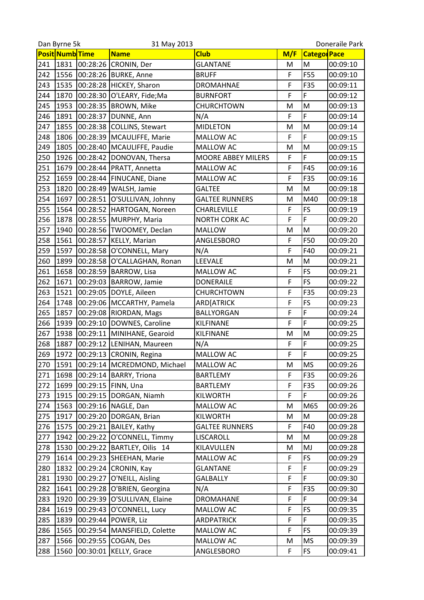| Posit Numb Time<br><b>Club</b><br>M/F<br><b>Categor</b> Pace<br><b>Name</b><br>00:28:26<br>1831<br><b>GLANTANE</b><br>M<br>241<br>CRONIN, Der<br>00:09:10<br>M<br>F<br>F55<br>242<br>1556<br>00:28:26<br><b>BURKE, Anne</b><br><b>BRUFF</b><br>00:09:10<br>F<br>243<br>1535<br>00:28:28<br>F35<br>HICKEY, Sharon<br>00:09:11<br><b>DROMAHNAE</b><br>F<br>F<br>1870<br>244<br>00:28:30<br>O'LEARY, Fide; Ma<br><b>BURNFORT</b><br>00:09:12<br>M<br>1953<br>245<br>00:28:35<br><b>BROWN, Mike</b><br>CHURCHTOWN<br>M<br>00:09:13<br>F<br>F<br>1891<br>246<br>00:28:37<br>DUNNE, Ann<br>N/A<br>00:09:14<br>M<br>247<br>1855<br>00:28:38<br><b>COLLINS, Stewart</b><br><b>MIDLETON</b><br>M<br>00:09:14<br>F<br>F<br>248<br>1806<br>00:28:39   MCAULIFFE, Marie<br>MALLOW AC<br>00:09:15<br>249<br>1805<br>M<br>00:28:40<br>M<br>MCAULIFFE, Paudie<br>MALLOW AC<br>00:09:15<br>F<br>F<br>250<br>1926<br>00:28:42<br>DONOVAN, Thersa<br>MOORE ABBEY MILERS<br>00:09:15<br>F<br>F45<br>251<br>1679<br>00:28:44<br>PRATT, Annetta<br>00:09:16<br>MALLOW AC<br>F<br>252<br>1659<br>00:28:44<br>FINUCANE, Diane<br>MALLOW AC<br>F35<br>00:09:16<br>M<br>253<br>1820<br>00:28:49   WALSH, Jamie<br>M<br><b>GALTEE</b><br>00:09:18<br>254<br>1697<br>M40<br>00:28:51<br>O'SULLIVAN, Johnny<br><b>GALTEE RUNNERS</b><br>00:09:18<br>M<br>255<br>F<br>FS<br>1564<br>00:28:52<br>HARTOGAN, Noreen<br>CHARLEVILLE<br>00:09:19<br>F<br>F<br>256<br>1878<br>00:28:55<br>MURPHY, Maria<br>NORTH CORK AC<br>00:09:20 | Doneraile Park |  |  |
|---------------------------------------------------------------------------------------------------------------------------------------------------------------------------------------------------------------------------------------------------------------------------------------------------------------------------------------------------------------------------------------------------------------------------------------------------------------------------------------------------------------------------------------------------------------------------------------------------------------------------------------------------------------------------------------------------------------------------------------------------------------------------------------------------------------------------------------------------------------------------------------------------------------------------------------------------------------------------------------------------------------------------------------------------------------------------------------------------------------------------------------------------------------------------------------------------------------------------------------------------------------------------------------------------------------------------------------------------------------------------------------------------------------------------------------------------------------------------------------------------|----------------|--|--|
|                                                                                                                                                                                                                                                                                                                                                                                                                                                                                                                                                                                                                                                                                                                                                                                                                                                                                                                                                                                                                                                                                                                                                                                                                                                                                                                                                                                                                                                                                                   |                |  |  |
|                                                                                                                                                                                                                                                                                                                                                                                                                                                                                                                                                                                                                                                                                                                                                                                                                                                                                                                                                                                                                                                                                                                                                                                                                                                                                                                                                                                                                                                                                                   |                |  |  |
|                                                                                                                                                                                                                                                                                                                                                                                                                                                                                                                                                                                                                                                                                                                                                                                                                                                                                                                                                                                                                                                                                                                                                                                                                                                                                                                                                                                                                                                                                                   |                |  |  |
|                                                                                                                                                                                                                                                                                                                                                                                                                                                                                                                                                                                                                                                                                                                                                                                                                                                                                                                                                                                                                                                                                                                                                                                                                                                                                                                                                                                                                                                                                                   |                |  |  |
|                                                                                                                                                                                                                                                                                                                                                                                                                                                                                                                                                                                                                                                                                                                                                                                                                                                                                                                                                                                                                                                                                                                                                                                                                                                                                                                                                                                                                                                                                                   |                |  |  |
|                                                                                                                                                                                                                                                                                                                                                                                                                                                                                                                                                                                                                                                                                                                                                                                                                                                                                                                                                                                                                                                                                                                                                                                                                                                                                                                                                                                                                                                                                                   |                |  |  |
|                                                                                                                                                                                                                                                                                                                                                                                                                                                                                                                                                                                                                                                                                                                                                                                                                                                                                                                                                                                                                                                                                                                                                                                                                                                                                                                                                                                                                                                                                                   |                |  |  |
|                                                                                                                                                                                                                                                                                                                                                                                                                                                                                                                                                                                                                                                                                                                                                                                                                                                                                                                                                                                                                                                                                                                                                                                                                                                                                                                                                                                                                                                                                                   |                |  |  |
|                                                                                                                                                                                                                                                                                                                                                                                                                                                                                                                                                                                                                                                                                                                                                                                                                                                                                                                                                                                                                                                                                                                                                                                                                                                                                                                                                                                                                                                                                                   |                |  |  |
|                                                                                                                                                                                                                                                                                                                                                                                                                                                                                                                                                                                                                                                                                                                                                                                                                                                                                                                                                                                                                                                                                                                                                                                                                                                                                                                                                                                                                                                                                                   |                |  |  |
|                                                                                                                                                                                                                                                                                                                                                                                                                                                                                                                                                                                                                                                                                                                                                                                                                                                                                                                                                                                                                                                                                                                                                                                                                                                                                                                                                                                                                                                                                                   |                |  |  |
|                                                                                                                                                                                                                                                                                                                                                                                                                                                                                                                                                                                                                                                                                                                                                                                                                                                                                                                                                                                                                                                                                                                                                                                                                                                                                                                                                                                                                                                                                                   |                |  |  |
|                                                                                                                                                                                                                                                                                                                                                                                                                                                                                                                                                                                                                                                                                                                                                                                                                                                                                                                                                                                                                                                                                                                                                                                                                                                                                                                                                                                                                                                                                                   |                |  |  |
|                                                                                                                                                                                                                                                                                                                                                                                                                                                                                                                                                                                                                                                                                                                                                                                                                                                                                                                                                                                                                                                                                                                                                                                                                                                                                                                                                                                                                                                                                                   |                |  |  |
|                                                                                                                                                                                                                                                                                                                                                                                                                                                                                                                                                                                                                                                                                                                                                                                                                                                                                                                                                                                                                                                                                                                                                                                                                                                                                                                                                                                                                                                                                                   |                |  |  |
|                                                                                                                                                                                                                                                                                                                                                                                                                                                                                                                                                                                                                                                                                                                                                                                                                                                                                                                                                                                                                                                                                                                                                                                                                                                                                                                                                                                                                                                                                                   |                |  |  |
|                                                                                                                                                                                                                                                                                                                                                                                                                                                                                                                                                                                                                                                                                                                                                                                                                                                                                                                                                                                                                                                                                                                                                                                                                                                                                                                                                                                                                                                                                                   |                |  |  |
| 257<br>M<br>1940<br>00:28:56   TWOOMEY, Declan<br><b>MALLOW</b><br>00:09:20<br>M                                                                                                                                                                                                                                                                                                                                                                                                                                                                                                                                                                                                                                                                                                                                                                                                                                                                                                                                                                                                                                                                                                                                                                                                                                                                                                                                                                                                                  |                |  |  |
| F<br>F50<br>258<br>1561<br>00:28:57<br>KELLY, Marian<br>ANGLESBORO<br>00:09:20                                                                                                                                                                                                                                                                                                                                                                                                                                                                                                                                                                                                                                                                                                                                                                                                                                                                                                                                                                                                                                                                                                                                                                                                                                                                                                                                                                                                                    |                |  |  |
| F<br>259<br>1597<br>00:28:58<br>O'CONNELL, Mary<br>N/A<br>F40<br>00:09:21                                                                                                                                                                                                                                                                                                                                                                                                                                                                                                                                                                                                                                                                                                                                                                                                                                                                                                                                                                                                                                                                                                                                                                                                                                                                                                                                                                                                                         |                |  |  |
| LEEVALE<br>260<br>1899<br>M<br>00:28:58<br>00:09:21<br>O'CALLAGHAN, Ronan<br>M                                                                                                                                                                                                                                                                                                                                                                                                                                                                                                                                                                                                                                                                                                                                                                                                                                                                                                                                                                                                                                                                                                                                                                                                                                                                                                                                                                                                                    |                |  |  |
| F<br>FS<br>261<br>1658<br>00:28:59<br>BARROW, Lisa<br>MALLOW AC<br>00:09:21                                                                                                                                                                                                                                                                                                                                                                                                                                                                                                                                                                                                                                                                                                                                                                                                                                                                                                                                                                                                                                                                                                                                                                                                                                                                                                                                                                                                                       |                |  |  |
| F<br><b>FS</b><br>262<br>1671<br>00:29:03<br>BARROW, Jamie<br><b>DONERAILE</b><br>00:09:22                                                                                                                                                                                                                                                                                                                                                                                                                                                                                                                                                                                                                                                                                                                                                                                                                                                                                                                                                                                                                                                                                                                                                                                                                                                                                                                                                                                                        |                |  |  |
| F<br>263<br>1521<br>DOYLE, Aileen<br>F35<br>00:29:05<br>CHURCHTOWN<br>00:09:23                                                                                                                                                                                                                                                                                                                                                                                                                                                                                                                                                                                                                                                                                                                                                                                                                                                                                                                                                                                                                                                                                                                                                                                                                                                                                                                                                                                                                    |                |  |  |
| F<br>FS<br>264<br>1748<br>00:29:06<br>MCCARTHY, Pamela<br>00:09:23<br>ARD[ATRICK                                                                                                                                                                                                                                                                                                                                                                                                                                                                                                                                                                                                                                                                                                                                                                                                                                                                                                                                                                                                                                                                                                                                                                                                                                                                                                                                                                                                                  |                |  |  |
| F<br>F<br>265<br>1857<br>00:29:08<br>RIORDAN, Mags<br><b>BALLYORGAN</b><br>00:09:24                                                                                                                                                                                                                                                                                                                                                                                                                                                                                                                                                                                                                                                                                                                                                                                                                                                                                                                                                                                                                                                                                                                                                                                                                                                                                                                                                                                                               |                |  |  |
| F<br>F<br>266<br>1939<br>00:29:10<br>DOWNES, Caroline<br>KILFINANE<br>00:09:25                                                                                                                                                                                                                                                                                                                                                                                                                                                                                                                                                                                                                                                                                                                                                                                                                                                                                                                                                                                                                                                                                                                                                                                                                                                                                                                                                                                                                    |                |  |  |
| M<br>267<br>1938<br>00:29:11<br>MINIHANE, Gearoid<br>M<br>00:09:25<br>KILFINANE                                                                                                                                                                                                                                                                                                                                                                                                                                                                                                                                                                                                                                                                                                                                                                                                                                                                                                                                                                                                                                                                                                                                                                                                                                                                                                                                                                                                                   |                |  |  |
| F<br>1887<br>F<br>268<br>00:29:12<br>N/A<br>LENIHAN, Maureen<br>00:09:25                                                                                                                                                                                                                                                                                                                                                                                                                                                                                                                                                                                                                                                                                                                                                                                                                                                                                                                                                                                                                                                                                                                                                                                                                                                                                                                                                                                                                          |                |  |  |
| F<br>F<br>269<br>1972<br>00:29:13<br>CRONIN, Regina<br>MALLOW AC<br>00:09:25                                                                                                                                                                                                                                                                                                                                                                                                                                                                                                                                                                                                                                                                                                                                                                                                                                                                                                                                                                                                                                                                                                                                                                                                                                                                                                                                                                                                                      |                |  |  |
| 270<br>1591<br>00:29:14 MCREDMOND, Michael<br><b>MS</b><br>MALLOW AC<br>00:09:26<br>Μ                                                                                                                                                                                                                                                                                                                                                                                                                                                                                                                                                                                                                                                                                                                                                                                                                                                                                                                                                                                                                                                                                                                                                                                                                                                                                                                                                                                                             |                |  |  |
| 00:29:14 BARRY, Triona<br>F35<br>271<br>1698<br>F<br>00:09:26<br><b>BARTLEMY</b>                                                                                                                                                                                                                                                                                                                                                                                                                                                                                                                                                                                                                                                                                                                                                                                                                                                                                                                                                                                                                                                                                                                                                                                                                                                                                                                                                                                                                  |                |  |  |
| F<br>1699<br>00:29:15   FINN, Una<br>F35<br>272<br><b>BARTLEMY</b><br>00:09:26                                                                                                                                                                                                                                                                                                                                                                                                                                                                                                                                                                                                                                                                                                                                                                                                                                                                                                                                                                                                                                                                                                                                                                                                                                                                                                                                                                                                                    |                |  |  |
| F<br>F<br>273<br>1915<br>00:29:15<br>DORGAN, Niamh<br><b>KILWORTH</b><br>00:09:26                                                                                                                                                                                                                                                                                                                                                                                                                                                                                                                                                                                                                                                                                                                                                                                                                                                                                                                                                                                                                                                                                                                                                                                                                                                                                                                                                                                                                 |                |  |  |
| 1563<br>00:29:16<br>NAGLE, Dan<br>M65<br>274<br>MALLOW AC<br>00:09:26<br>M                                                                                                                                                                                                                                                                                                                                                                                                                                                                                                                                                                                                                                                                                                                                                                                                                                                                                                                                                                                                                                                                                                                                                                                                                                                                                                                                                                                                                        |                |  |  |
| 275<br>1917<br>00:29:20<br>M<br>DORGAN, Brian<br><b>KILWORTH</b><br>M<br>00:09:28                                                                                                                                                                                                                                                                                                                                                                                                                                                                                                                                                                                                                                                                                                                                                                                                                                                                                                                                                                                                                                                                                                                                                                                                                                                                                                                                                                                                                 |                |  |  |
| F40<br>00:29:21 BAILEY, Kathy<br>F<br>276<br>1575<br><b>GALTEE RUNNERS</b><br>00:09:28                                                                                                                                                                                                                                                                                                                                                                                                                                                                                                                                                                                                                                                                                                                                                                                                                                                                                                                                                                                                                                                                                                                                                                                                                                                                                                                                                                                                            |                |  |  |
| M<br>1942<br>00:29:22<br>O'CONNELL, Timmy<br>277<br>LISCAROLL<br>M<br>00:09:28                                                                                                                                                                                                                                                                                                                                                                                                                                                                                                                                                                                                                                                                                                                                                                                                                                                                                                                                                                                                                                                                                                                                                                                                                                                                                                                                                                                                                    |                |  |  |
| 00:29:22<br>278<br>1530<br>BARTLEY, Oilis 14<br>KILAVULLEN<br>MJ<br>00:09:28<br>M                                                                                                                                                                                                                                                                                                                                                                                                                                                                                                                                                                                                                                                                                                                                                                                                                                                                                                                                                                                                                                                                                                                                                                                                                                                                                                                                                                                                                 |                |  |  |
| <b>FS</b><br>00:29:23 SHEEHAN, Marie<br>F<br>279<br>1614<br>00:09:29<br>MALLOW AC                                                                                                                                                                                                                                                                                                                                                                                                                                                                                                                                                                                                                                                                                                                                                                                                                                                                                                                                                                                                                                                                                                                                                                                                                                                                                                                                                                                                                 |                |  |  |
| F<br>F<br>1832<br>00:29:24<br>280<br>CRONIN, Kay<br><b>GLANTANE</b><br>00:09:29                                                                                                                                                                                                                                                                                                                                                                                                                                                                                                                                                                                                                                                                                                                                                                                                                                                                                                                                                                                                                                                                                                                                                                                                                                                                                                                                                                                                                   |                |  |  |
| F<br>F<br>1930<br>00:29:27<br>O'NEILL, Aisling<br>00:09:30<br>281<br><b>GALBALLY</b>                                                                                                                                                                                                                                                                                                                                                                                                                                                                                                                                                                                                                                                                                                                                                                                                                                                                                                                                                                                                                                                                                                                                                                                                                                                                                                                                                                                                              |                |  |  |
| F<br>F35<br>282<br>1641<br>00:29:28<br>O'BRIEN, Georgina<br>00:09:30<br>N/A                                                                                                                                                                                                                                                                                                                                                                                                                                                                                                                                                                                                                                                                                                                                                                                                                                                                                                                                                                                                                                                                                                                                                                                                                                                                                                                                                                                                                       |                |  |  |
| F<br>F<br>1920<br>00:29:39<br>283<br>O'SULLIVAN, Elaine<br><b>DROMAHANE</b><br>00:09:34                                                                                                                                                                                                                                                                                                                                                                                                                                                                                                                                                                                                                                                                                                                                                                                                                                                                                                                                                                                                                                                                                                                                                                                                                                                                                                                                                                                                           |                |  |  |
| 00:29:43<br>F<br><b>FS</b><br>284<br>1619<br>O'CONNELL, Lucy<br>MALLOW AC<br>00:09:35                                                                                                                                                                                                                                                                                                                                                                                                                                                                                                                                                                                                                                                                                                                                                                                                                                                                                                                                                                                                                                                                                                                                                                                                                                                                                                                                                                                                             |                |  |  |
| F<br>285<br>1839<br>00:29:44   POWER, Liz<br>F<br><b>ARDPATRICK</b><br>00:09:35                                                                                                                                                                                                                                                                                                                                                                                                                                                                                                                                                                                                                                                                                                                                                                                                                                                                                                                                                                                                                                                                                                                                                                                                                                                                                                                                                                                                                   |                |  |  |
| <b>FS</b><br>F<br>1565<br>286<br>00:29:54   MANSFIELD, Colette<br>MALLOW AC<br>00:09:39                                                                                                                                                                                                                                                                                                                                                                                                                                                                                                                                                                                                                                                                                                                                                                                                                                                                                                                                                                                                                                                                                                                                                                                                                                                                                                                                                                                                           |                |  |  |
| 00:29:55<br>287<br>1566<br>COGAN, Des<br>MALLOW AC<br><b>MS</b><br>00:09:39<br>M                                                                                                                                                                                                                                                                                                                                                                                                                                                                                                                                                                                                                                                                                                                                                                                                                                                                                                                                                                                                                                                                                                                                                                                                                                                                                                                                                                                                                  |                |  |  |
| 288<br>1560<br>00:30:01 KELLY, Grace<br>F<br><b>FS</b><br>00:09:41<br>ANGLESBORO                                                                                                                                                                                                                                                                                                                                                                                                                                                                                                                                                                                                                                                                                                                                                                                                                                                                                                                                                                                                                                                                                                                                                                                                                                                                                                                                                                                                                  |                |  |  |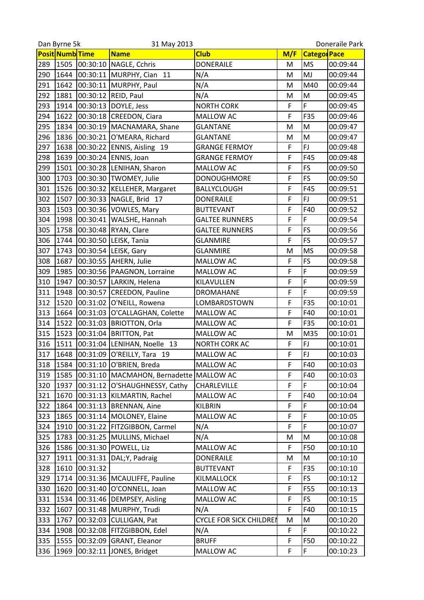|     | Dan Byrne 5k<br>31 May 2013 |          |                                |                                | Doneraile Park |                    |          |
|-----|-----------------------------|----------|--------------------------------|--------------------------------|----------------|--------------------|----------|
|     | Posit Numb Time             |          | <b>Name</b>                    | <b>Club</b>                    | M/F            | <b>Catego Pace</b> |          |
| 289 | 1505                        | 00:30:10 | NAGLE, Cchris                  | <b>DONERAILE</b>               | M              | <b>MS</b>          | 00:09:44 |
| 290 | 1644                        |          | 00:30:11 MURPHY, Cian 11       | N/A                            | M              | MJ                 | 00:09:44 |
| 291 | 1642                        |          | 00:30:11 MURPHY, Paul          | N/A                            | M              | M40                | 00:09:44 |
| 292 | 1881                        |          | 00:30:12 REID, Paul            | N/A                            | M              | M                  | 00:09:45 |
| 293 | 1914                        | 00:30:13 | DOYLE, Jess                    | <b>NORTH CORK</b>              | F              | F                  | 00:09:45 |
| 294 | 1622                        | 00:30:18 | <b>CREEDON, Ciara</b>          | MALLOW AC                      | F              | F35                | 00:09:46 |
| 295 | 1834                        | 00:30:19 | MACNAMARA, Shane               | <b>GLANTANE</b>                | M              | M                  | 00:09:47 |
| 296 | 1836                        |          | 00:30:21 O'MEARA, Richard      | <b>GLANTANE</b>                | M              | M                  | 00:09:47 |
| 297 | 1638                        |          | 00:30:22 ENNIS, Aisling 19     | <b>GRANGE FERMOY</b>           | F              | FJ                 | 00:09:48 |
| 298 | 1639                        |          | 00:30:24 ENNIS, Joan           | <b>GRANGE FERMOY</b>           | F              | F45                | 00:09:48 |
| 299 | 1501                        |          | 00:30:28 LENIHAN, Sharon       | MALLOW AC                      | F              | <b>FS</b>          | 00:09:50 |
| 300 | 1703                        |          | 00:30:30 TWOMEY, Julie         | <b>DONOUGHMORE</b>             | F              | <b>FS</b>          | 00:09:50 |
| 301 | 1526                        |          | 00:30:32 KELLEHER, Margaret    | <b>BALLYCLOUGH</b>             | F              | F45                | 00:09:51 |
| 302 | 1507                        |          | 00:30:33 NAGLE, Brid 17        | <b>DONERAILE</b>               | F              | <b>FJ</b>          | 00:09:51 |
| 303 | 1503                        |          | 00:30:36 VOWLES, Mary          | <b>BUTTEVANT</b>               | F              | F40                | 00:09:52 |
| 304 | 1998                        | 00:30:41 | WALSHE, Hannah                 | <b>GALTEE RUNNERS</b>          | F              | F                  | 00:09:54 |
| 305 | 1758                        |          | 00:30:48 RYAN, Clare           | <b>GALTEE RUNNERS</b>          | F              | <b>FS</b>          | 00:09:56 |
| 306 | 1744                        |          | 00:30:50 LEISK, Tania          | <b>GLANMIRE</b>                | F              | FS                 | 00:09:57 |
| 307 | 1743                        |          | 00:30:54 LEISK, Gary           | <b>GLANMIRE</b>                | M              | <b>MS</b>          | 00:09:58 |
| 308 | 1687                        |          | 00:30:55 AHERN, Julie          | MALLOW AC                      | F              | <b>FS</b>          | 00:09:58 |
| 309 | 1985                        |          | 00:30:56  PAAGNON, Lorraine    | MALLOW AC                      | F              | F                  | 00:09:59 |
| 310 | 1947                        |          | 00:30:57 LARKIN, Helena        | KILAVULLEN                     | F              | F                  | 00:09:59 |
| 311 | 1948                        | 00:30:57 | CREEDON, Pauline               | <b>DROMAHANE</b>               | F              | F                  | 00:09:59 |
| 312 | 1520                        |          | 00:31:02 O'NEILL, Rowena       | LOMBARDSTOWN                   | F              | F35                | 00:10:01 |
| 313 | 1664                        |          | 00:31:03 O'CALLAGHAN, Colette  | MALLOW AC                      | F              | F40                | 00:10:01 |
| 314 | 1522                        |          | 00:31:03 BRIOTTON, Orla        | MALLOW AC                      | F              | F35                | 00:10:01 |
| 315 | 1523                        |          | 00:31:04   BRITTON, Pat        | <b>MALLOW AC</b>               | M              | M35                | 00:10:01 |
| 316 | 1511                        |          | 00:31:04 LENIHAN, Noelle 13    | <b>NORTH CORK AC</b>           | F              | FJ                 | 00:10:01 |
| 317 | 1648                        | 00:31:09 | O'REILLY, Tara 19              | MALLOW AC                      | F              | <b>FJ</b>          | 00:10:03 |
| 318 | 1584                        |          | 00:31:10 O'BRIEN, Breda        | MALLOW AC                      | F              | F40                | 00:10:03 |
| 319 | 1585                        | 00:31:10 | MACMAHON, Bernadette MALLOW AC |                                | F              | F40                | 00:10:03 |
| 320 | 1937                        |          | 00:31:12 O'SHAUGHNESSY, Cathy  | CHARLEVILLE                    | F              | F                  | 00:10:04 |
| 321 | 1670                        | 00:31:13 | KILMARTIN, Rachel              | MALLOW AC                      | F              | F40                | 00:10:04 |
| 322 | 1864                        | 00:31:13 | <b>BRENNAN, Aine</b>           | KILBRIN                        | F              | F                  | 00:10:04 |
| 323 | 1865                        | 00:31:14 | MOLONEY, Elaine                | MALLOW AC                      | F              | F                  | 00:10:05 |
| 324 | 1910                        |          | 00:31:22 FITZGIBBON, Carmel    | N/A                            | F              | F                  | 00:10:07 |
| 325 | 1783                        | 00:31:25 | MULLINS, Michael               | N/A                            | M              | M                  | 00:10:08 |
| 326 | 1586                        | 00:31:30 | POWELL, Liz                    | MALLOW AC                      | F              | F50                | 00:10:10 |
| 327 | 1911                        | 00:31:31 | DAL;Y, Padraig                 | <b>DONERAILE</b>               | M              | M                  | 00:10:10 |
| 328 | 1610                        | 00:31:32 |                                | <b>BUTTEVANT</b>               | F              | F35                | 00:10:10 |
| 329 | 1714                        |          | 00:31:36   MCAULIFFE, Pauline  | KILMALLOCK                     | F              | <b>FS</b>          | 00:10:12 |
| 330 | 1620                        | 00:31:40 | O'CONNELL, Joan                | MALLOW AC                      | F              | F55                | 00:10:13 |
| 331 | 1534                        | 00:31:46 | <b>DEMPSEY, Aisling</b>        | MALLOW AC                      | F              | <b>FS</b>          | 00:10:15 |
| 332 | 1607                        | 00:31:48 | MURPHY, Trudi                  | N/A                            | F              | F40                | 00:10:15 |
| 333 | 1767                        |          | 00:32:03 CULLIGAN, Pat         | <b>CYCLE FOR SICK CHILDREN</b> | M              | M                  | 00:10:20 |
| 334 | 1908                        | 00:32:08 | FITZGIBBON, Edel               | N/A                            | F              | F                  | 00:10:22 |
| 335 | 1555                        | 00:32:09 | GRANT, Eleanor                 | <b>BRUFF</b>                   | F              | F50                | 00:10:22 |
| 336 | 1969                        | 00:32:11 | JONES, Bridget                 | MALLOW AC                      | F              | F                  | 00:10:23 |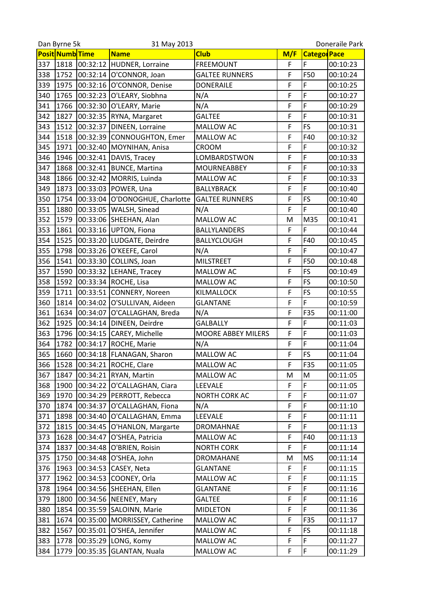|     | Dan Byrne 5k<br>31 May 2013 |          |                             | Doneraile Park        |     |                     |          |
|-----|-----------------------------|----------|-----------------------------|-----------------------|-----|---------------------|----------|
|     | <b>Posit Numb</b> Time      |          | <b>Name</b>                 | <b>Club</b>           | M/F | <b>Categor</b> Pace |          |
| 337 | 1818                        |          | 00:32:12 HUDNER, Lorraine   | <b>FREEMOUNT</b>      | F   | F                   | 00:10:23 |
| 338 | 1752                        | 00:32:14 | O'CONNOR, Joan              | <b>GALTEE RUNNERS</b> | F   | F50                 | 00:10:24 |
| 339 | 1975                        |          | 00:32:16 O'CONNOR, Denise   | <b>DONERAILE</b>      | F   | F                   | 00:10:25 |
| 340 | 1765                        |          | 00:32:23 O'LEARY, Siobhna   | N/A                   | F   | F                   | 00:10:27 |
| 341 | 1766                        | 00:32:30 | O'LEARY, Marie              | N/A                   | F   | F                   | 00:10:29 |
| 342 | 1827                        | 00:32:35 | RYNA, Margaret              | <b>GALTEE</b>         | F   | F                   | 00:10:31 |
| 343 | 1512                        | 00:32:37 | DINEEN, Lorraine            | MALLOW AC             | F   | <b>FS</b>           | 00:10:31 |
| 344 | 1518                        |          | 00:32:39 CONNOUGHTON, Emer  | <b>MALLOW AC</b>      | F   | F40                 | 00:10:32 |
| 345 | 1971                        | 00:32:40 | MOYNIHAN, Anisa             | CROOM                 | F   | F                   | 00:10:32 |
| 346 | 1946                        | 00:32:41 | DAVIS, Tracey               | LOMBARDSTWON          | F   | F                   | 00:10:33 |
| 347 | 1868                        |          | 00:32:41 BUNCE, Martina     | <b>MOURNEABBEY</b>    | F   | F                   | 00:10:33 |
| 348 | 1866                        | 00:32:42 | MORRIS, Luinda              | MALLOW AC             | F   | F                   | 00:10:33 |
| 349 | 1873                        |          | 00:33:03 POWER, Una         | <b>BALLYBRACK</b>     | F   | F                   | 00:10:40 |
| 350 | 1754                        | 00:33:04 | O'DONOGHUE, Charlotte       | <b>GALTEE RUNNERS</b> | F   | FS                  | 00:10:40 |
| 351 | 1880                        | 00:33:05 | WALSH, Sinead               | N/A                   | F   | F                   | 00:10:40 |
| 352 | 1579                        | 00:33:06 | SHEEHAN, Alan               | MALLOW AC             | M   | M35                 | 00:10:41 |
| 353 | 1861                        |          | 00:33:16 UPTON, Fiona       | <b>BALLYLANDERS</b>   | F   | F                   | 00:10:44 |
| 354 | 1525                        |          | 00:33:20 LUDGATE, Deirdre   | BALLYCLOUGH           | F   | F40                 | 00:10:45 |
| 355 | 1798                        |          | 00:33:26 O'KEEFE, Carol     | N/A                   | F   | F                   | 00:10:47 |
| 356 | 1541                        | 00:33:30 | COLLINS, Joan               | <b>MILSTREET</b>      | F   | F50                 | 00:10:48 |
| 357 | 1590                        |          | 00:33:32 LEHANE, Tracey     | MALLOW AC             | F   | FS                  | 00:10:49 |
| 358 | 1592                        |          | 00:33:34 ROCHE, Lisa        | MALLOW AC             | F   | FS                  | 00:10:50 |
| 359 | 1711                        |          | 00:33:51 CONNERY, Noreen    | KILMALLOCK            | F   | FS                  | 00:10:55 |
| 360 | 1814                        |          | 00:34:02 O'SULLIVAN, Aideen | <b>GLANTANE</b>       | F   | F                   | 00:10:59 |
| 361 | 1634                        | 00:34:07 | O'CALLAGHAN, Breda          | N/A                   | F   | F35                 | 00:11:00 |
| 362 | 1925                        | 00:34:14 | DINEEN, Deirdre             | <b>GALBALLY</b>       | F   | F                   | 00:11:03 |
| 363 | 1796                        | 00:34:15 | CAREY, Michelle             | MOORE ABBEY MILERS    | F   | F                   | 00:11:03 |
| 364 | 1782                        | 00:34:17 | ROCHE, Marie                | N/A                   | F   | F                   | 00:11:04 |
| 365 | 1660                        | 00:34:18 | FLANAGAN, Sharon            | MALLOW AC             | F   | <b>FS</b>           | 00:11:04 |
| 366 |                             |          | 1528 00:34:21 ROCHE, Clare  | MALLOW AC             | F   | F35                 | 00:11:05 |
| 367 | 1847                        | 00:34:21 | RYAN, Martin                | <b>MALLOW AC</b>      | M   | M                   | 00:11:05 |
|     |                             |          |                             |                       | F   | F                   |          |
| 368 | 1900                        |          | 00:34:22 O'CALLAGHAN, Ciara | <b>LEEVALE</b>        |     |                     | 00:11:05 |
| 369 | 1970                        | 00:34:29 | PERROTT, Rebecca            | NORTH CORK AC         | F   | F<br>F              | 00:11:07 |
| 370 | 1874                        | 00:34:37 | O'CALLAGHAN, Fiona          | N/A                   | F   |                     | 00:11:10 |
| 371 | 1898                        | 00:34:40 | O'CALLAGHAN, Emma           | LEEVALE               | F   | F                   | 00:11:11 |
| 372 | 1815                        |          | 00:34:45 O'HANLON, Margarte | <b>DROMAHNAE</b>      | F   | F                   | 00:11:13 |
| 373 | 1628                        | 00:34:47 | O'SHEA, Patricia            | MALLOW AC             | F   | F40                 | 00:11:13 |
| 374 | 1837                        | 00:34:48 | O'BRIEN, Roisin             | <b>NORTH CORK</b>     | F   | F                   | 00:11:14 |
| 375 | 1750                        |          | 00:34:48 O'SHEA, John       | <b>DROMAHANE</b>      | M   | <b>MS</b>           | 00:11:14 |
| 376 | 1963                        |          | 00:34:53 CASEY, Neta        | <b>GLANTANE</b>       | F   | F                   | 00:11:15 |
| 377 | 1962                        |          | 00:34:53 COONEY, Orla       | MALLOW AC             | F   | F                   | 00:11:15 |
| 378 | 1964                        | 00:34:56 | SHEEHAN, Ellen              | <b>GLANTANE</b>       | F   | F                   | 00:11:16 |
| 379 | 1800                        | 00:34:56 | NEENEY, Mary                | <b>GALTEE</b>         | F   | F                   | 00:11:16 |
| 380 | 1854                        | 00:35:59 | SALOINN, Marie              | <b>MIDLETON</b>       | F   | F                   | 00:11:36 |
| 381 | 1674                        | 00:35:00 | MORRISSEY, Catherine        | MALLOW AC             | F   | F35                 | 00:11:17 |
| 382 | 1567                        | 00:35:01 | O'SHEA, Jennifer            | MALLOW AC             | F   | FS                  | 00:11:18 |
| 383 | 1778                        | 00:35:29 | LONG, Komy                  | MALLOW AC             | F   | F                   | 00:11:27 |
| 384 | 1779                        | 00:35:35 | GLANTAN, Nuala              | MALLOW AC             | F   | F                   | 00:11:29 |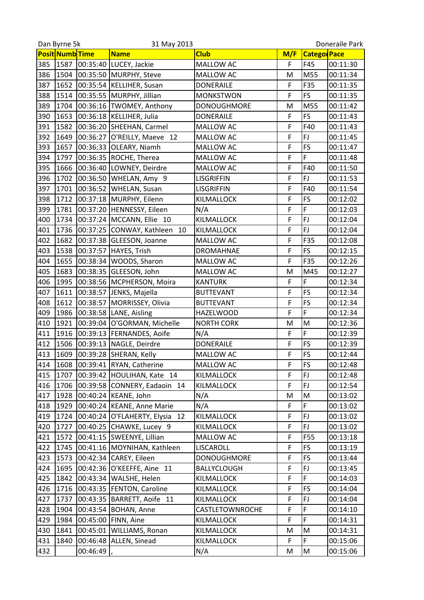|     | Dan Byrne 5k    |          | 31 May 2013                                      |                    |        | Doneraile Park     |                      |  |
|-----|-----------------|----------|--------------------------------------------------|--------------------|--------|--------------------|----------------------|--|
|     | Posit Numb Time |          | <b>Name</b>                                      | <b>Club</b>        | M/F    | <b>Catego Pace</b> |                      |  |
| 385 | 1587            | 00:35:40 | LUCEY, Jackie                                    | MALLOW AC          | F      | F45                | 00:11:30             |  |
| 386 | 1504            | 00:35:50 | MURPHY, Steve                                    | MALLOW AC          | M      | M55                | 00:11:34             |  |
| 387 | 1652            | 00:35:54 | <b>KELLIHER, Susan</b>                           | <b>DONERAILE</b>   | F      | F35                | 00:11:35             |  |
| 388 | 1514            |          | 00:35:55 MURPHY, Jillian                         | <b>MONKSTWON</b>   | F      | <b>FS</b>          | 00:11:35             |  |
| 389 | 1704            |          | 00:36:16 TWOMEY, Anthony                         | <b>DONOUGHMORE</b> | M      | M55                | 00:11:42             |  |
| 390 | 1653            | 00:36:18 | KELLIHER, Julia                                  | <b>DONERAILE</b>   | F      | <b>FS</b>          | 00:11:43             |  |
| 391 | 1582            | 00:36:20 | SHEEHAN, Carmel                                  | MALLOW AC          | F      | F40                | 00:11:43             |  |
| 392 | 1649            | 00:36:27 | O'REILLY, Maeve 12                               | MALLOW AC          | F      | FJ                 | 00:11:45             |  |
| 393 | 1657            |          | 00:36:33 OLEARY, Niamh                           | MALLOW AC          | F      | FS                 | 00:11:47             |  |
| 394 | 1797            | 00:36:35 | ROCHE, Therea                                    | MALLOW AC          | F      | F                  | 00:11:48             |  |
| 395 | 1666            |          | 00:36:40 LOWNEY, Deirdre                         | MALLOW AC          | F      | F40                | 00:11:50             |  |
| 396 | 1702            | 00:36:50 | WHELAN, Amy 9                                    | <b>LISGRIFFIN</b>  | F      | FJ                 | 00:11:53             |  |
| 397 | 1701            | 00:36:52 | <b>WHELAN, Susan</b>                             | <b>LISGRIFFIN</b>  | F      | F40                | 00:11:54             |  |
| 398 | 1712            |          | 00:37:18 MURPHY, Eilenn                          | KILMALLOCK         | F      | FS                 | 00:12:02             |  |
| 399 | 1781            | 00:37:20 | HENNESSY, Eileen                                 | N/A                | F      | F                  | 00:12:03             |  |
| 400 | 1734            | 00:37:24 | MCCANN, Ellie 10                                 | KILMALLOCK         | F      | FJ                 | 00:12:04             |  |
| 401 | 1736            |          | 00:37:25 CONWAY, Kathleen 10                     | KILMALLOCK         | F      | <b>FJ</b>          | 00:12:04             |  |
| 402 | 1682            |          | 00:37:38 GLEESON, Joanne                         | MALLOW AC          | F      | F35                | 00:12:08             |  |
| 403 | 1538            | 00:37:57 | HAYES, Trish                                     | <b>DROMAHNAE</b>   | F      | <b>FS</b>          | 00:12:15             |  |
| 404 | 1655            | 00:38:34 | WOODS, Sharon                                    | MALLOW AC          | F      | F35                | 00:12:26             |  |
| 405 | 1683            | 00:38:35 | GLEESON, John                                    | MALLOW AC          | M      | M45                | 00:12:27             |  |
| 406 | 1995            | 00:38:56 | MCPHERSON, Moira                                 | <b>KANTURK</b>     | F      | F                  | 00:12:34             |  |
| 407 | 1611            | 00:38:57 | JENKS, Majella                                   | <b>BUTTEVANT</b>   | F      | <b>FS</b>          | 00:12:34             |  |
| 408 | 1612            | 00:38:57 | MORRISSEY, Olivia                                | <b>BUTTEVANT</b>   | F      | <b>FS</b>          | 00:12:34             |  |
| 409 | 1986            | 00:38:58 | LANE, Aisling                                    | <b>HAZELWOOD</b>   | F      | F                  | 00:12:34             |  |
| 410 | 1921            | 00:39:04 | O'GORMAN, Michelle                               | <b>NORTH CORK</b>  | M      | M                  | 00:12:36             |  |
| 411 | 1916            |          | 00:39:13 FERNANDES, Aoife                        | N/A                | F      | F                  | 00:12:39             |  |
| 412 | 1506            | 00:39:13 | NAGLE, Deirdre                                   | <b>DONERAILE</b>   | F      | <b>FS</b>          | 00:12:39             |  |
| 413 | 1609            |          | 00:39:28 SHERAN, Kelly                           | <b>MALLOW AC</b>   | F      | <b>FS</b>          | 00:12:44             |  |
| 414 |                 |          | 1608 00:39:41 RYAN, Catherine                    | MALLOW AC          | F      | FS                 | 00:12:48             |  |
| 415 | 1707            |          | 00:39:42 HOULIHAN, Kate 14                       | KILMALLOCK         | F      | <b>FJ</b>          | 00:12:48             |  |
| 416 | 1706            |          | 00:39:58 CONNERY, Eadaoin 14                     | KILMALLOCK         | F      | <b>FJ</b>          |                      |  |
| 417 |                 |          |                                                  |                    |        | M                  | 00:12:54<br>00:13:02 |  |
| 418 | 1928<br>1929    | 00:40:24 | 00:40:24 KEANE, John<br><b>KEANE, Anne Marie</b> | N/A<br>N/A         | M<br>F | F.                 | 00:13:02             |  |
| 419 |                 |          |                                                  | KILMALLOCK         | F      | FJ                 |                      |  |
|     | 1724            |          | 00:40:24 O'FLAHERTY, Elysia 12                   |                    | F      | FJ                 | 00:13:02             |  |
| 420 | 1727            |          | 00:40:25 CHAWKE, Lucey 9                         | KILMALLOCK         | F      | <b>F55</b>         | 00:13:02             |  |
| 421 | 1572            |          | 00:41:15 SWEENYE, Lillian                        | MALLOW AC          |        |                    | 00:13:18             |  |
| 422 | 1745            |          | 00:41:16 MOYNIHAN, Kathleen                      | LISCAROLL          | F      | <b>FS</b>          | 00:13:19             |  |
| 423 | 1573            |          | 00:42:34 CAREY, Eileen                           | <b>DONOUGHMORE</b> | F      | <b>FS</b>          | 00:13:44             |  |
| 424 | 1695            |          | 00:42:36 O'KEEFFE, Aine 11                       | BALLYCLOUGH        | F      | FJ                 | 00:13:45             |  |
| 425 | 1842            |          | 00:43:34 WALSHE, Helen                           | KILMALLOCK         | F      | F                  | 00:14:03             |  |
| 426 | 1716            |          | 00:43:35  FENTON, Caroline                       | KILMALLOCK         | F      | <b>FS</b>          | 00:14:04             |  |
| 427 | 1737            |          | 00:43:35   BARRETT, Aoife 11                     | KILMALLOCK         | F      | <b>FJ</b>          | 00:14:04             |  |
| 428 | 1904            | 00:43:54 | <b>BOHAN, Anne</b>                               | CASTLETOWNROCHE    | F      | F                  | 00:14:10             |  |
| 429 | 1984            | 00:45:00 | FINN, Aine                                       | KILMALLOCK         | F      | F                  | 00:14:31             |  |
| 430 | 1841            |          | 00:45:01 WILLIAMS, Ronan                         | KILMALLOCK         | M      | M                  | 00:14:31             |  |
| 431 | 1840            | 00:46:48 | ALLEN, Sinead                                    | KILMALLOCK         | F      | F                  | 00:15:06             |  |
| 432 |                 | 00:46:49 |                                                  | N/A                | M      | M                  | 00:15:06             |  |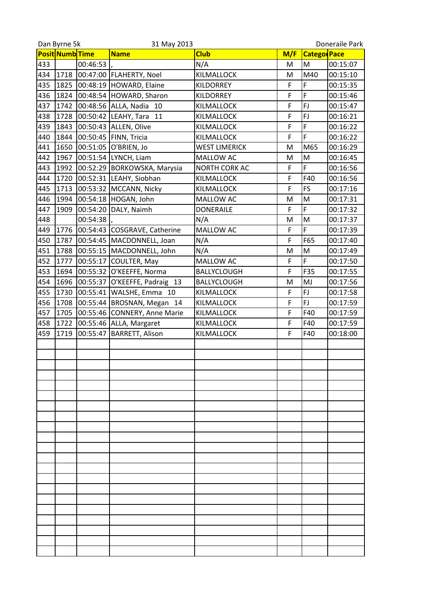|     | Dan Byrne 5k<br>31 May 2013 |          |                              | Doneraile Park       |     |                    |          |
|-----|-----------------------------|----------|------------------------------|----------------------|-----|--------------------|----------|
|     | <b>Posit Numb</b> Time      |          | <b>Name</b>                  | <b>Club</b>          | M/F | <b>Catego Pace</b> |          |
| 433 |                             | 00:46:53 |                              | N/A                  | M   | M                  | 00:15:07 |
| 434 | 1718                        |          | 00:47:00   FLAHERTY, Noel    | KILMALLOCK           | M   | M40                | 00:15:10 |
| 435 | 1825                        |          | 00:48:19 HOWARD, Elaine      | <b>KILDORREY</b>     | F   | F                  | 00:15:35 |
| 436 | 1824                        |          | 00:48:54 HOWARD, Sharon      | <b>KILDORREY</b>     | F   | F                  | 00:15:46 |
| 437 | 1742                        |          | 00:48:56 ALLA, Nadia 10      | KILMALLOCK           | F   | FJ                 | 00:15:47 |
| 438 | 1728                        | 00:50:42 | LEAHY, Tara 11               | KILMALLOCK           | F   | FJ                 | 00:16:21 |
| 439 | 1843                        |          | 00:50:43 ALLEN, Olive        | KILMALLOCK           | F   | F                  | 00:16:22 |
| 440 | 1844                        |          | 00:50:45 FINN, Tricia        | KILMALLOCK           | F   | F                  | 00:16:22 |
| 441 | 1650                        |          | 00:51:05 O'BRIEN, Jo         | <b>WEST LIMERICK</b> | M   | M65                | 00:16:29 |
| 442 | 1967                        |          | 00:51:54 LYNCH, Liam         | MALLOW AC            | M   | M                  | 00:16:45 |
| 443 | 1992                        |          | 00:52:29 BORKOWSKA, Marysia  | NORTH CORK AC        | F   | F                  | 00:16:56 |
| 444 | 1720                        |          | 00:52:31 LEAHY, Siobhan      | KILMALLOCK           | F   | F40                | 00:16:56 |
| 445 | 1713                        |          | 00:53:32 MCCANN, Nicky       | KILMALLOCK           | F   | <b>FS</b>          | 00:17:16 |
| 446 | 1994                        |          | 00:54:18 HOGAN, John         | MALLOW AC            | M   | M                  | 00:17:31 |
| 447 | 1909                        | 00:54:20 | DALY, Naimh                  | <b>DONERAILE</b>     | F   | F                  | 00:17:32 |
| 448 |                             | 00:54:38 |                              | N/A                  | M   | M                  | 00:17:37 |
| 449 | 1776                        |          | 00:54:43 COSGRAVE, Catherine | MALLOW AC            | F   | F                  | 00:17:39 |
| 450 | 1787                        |          | 00:54:45 MACDONNELL, Joan    | N/A                  | F   | F65                | 00:17:40 |
| 451 | 1788                        |          | 00:55:15 MACDONNELL, John    | N/A                  | M   | M                  | 00:17:49 |
| 452 | 1777                        | 00:55:17 | <b>COULTER, May</b>          | MALLOW AC            | F   | F                  | 00:17:50 |
| 453 | 1694                        | 00:55:32 | O'KEEFFE, Norma              | <b>BALLYCLOUGH</b>   | F   | F35                | 00:17:55 |
| 454 | 1696                        | 00:55:37 | O'KEEFFE, Padraig 13         | <b>BALLYCLOUGH</b>   | M   | MJ                 | 00:17:56 |
| 455 | 1730                        | 00:55:41 | WALSHE, Emma 10              | KILMALLOCK           | F   | <b>FJ</b>          | 00:17:58 |
| 456 | 1708                        |          | 00:55:44 BROSNAN, Megan 14   | KILMALLOCK           | F   | <b>FJ</b>          | 00:17:59 |
| 457 | 1705                        | 00:55:46 | <b>CONNERY, Anne Marie</b>   | KILMALLOCK           | F   | F40                | 00:17:59 |
| 458 | 1722                        |          | 00:55:46 ALLA, Margaret      | KILMALLOCK           | F   | F40                | 00:17:59 |
| 459 | 1719                        | 00:55:47 | <b>BARRETT, Alison</b>       | KILMALLOCK           | F   | F40                | 00:18:00 |
|     |                             |          |                              |                      |     |                    |          |
|     |                             |          |                              |                      |     |                    |          |
|     |                             |          |                              |                      |     |                    |          |
|     |                             |          |                              |                      |     |                    |          |
|     |                             |          |                              |                      |     |                    |          |
|     |                             |          |                              |                      |     |                    |          |
|     |                             |          |                              |                      |     |                    |          |
|     |                             |          |                              |                      |     |                    |          |
|     |                             |          |                              |                      |     |                    |          |
|     |                             |          |                              |                      |     |                    |          |
|     |                             |          |                              |                      |     |                    |          |
|     |                             |          |                              |                      |     |                    |          |
|     |                             |          |                              |                      |     |                    |          |
|     |                             |          |                              |                      |     |                    |          |
|     |                             |          |                              |                      |     |                    |          |
|     |                             |          |                              |                      |     |                    |          |
|     |                             |          |                              |                      |     |                    |          |
|     |                             |          |                              |                      |     |                    |          |
|     |                             |          |                              |                      |     |                    |          |
|     |                             |          |                              |                      |     |                    |          |
|     |                             |          |                              |                      |     |                    |          |